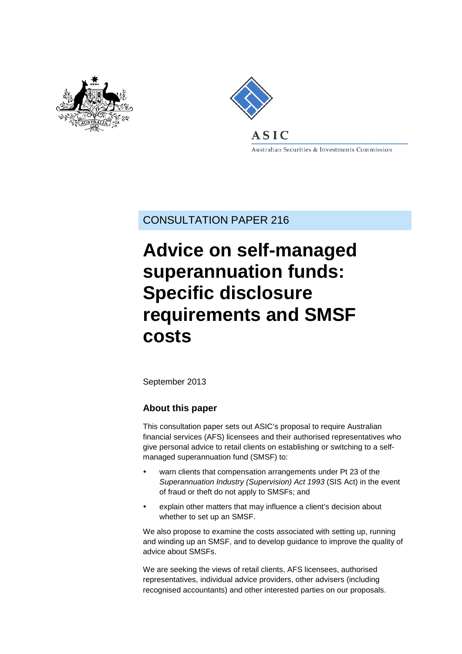



Australian Securities & Investments Commission

CONSULTATION PAPER 216

# **Advice on self-managed superannuation funds: Specific disclosure requirements and SMSF costs**

September 2013

## **About this paper**

This consultation paper sets out ASIC's proposal to require Australian financial services (AFS) licensees and their authorised representatives who give personal advice to retail clients on establishing or switching to a selfmanaged superannuation fund (SMSF) to:

- warn clients that compensation arrangements under Pt 23 of the *Superannuation Industry (Supervision) Act 1993* (SIS Act) in the event of fraud or theft do not apply to SMSFs; and
- explain other matters that may influence a client's decision about whether to set up an SMSF.

We also propose to examine the costs associated with setting up, running and winding up an SMSF, and to develop guidance to improve the quality of advice about SMSFs.

We are seeking the views of retail clients, AFS licensees, authorised representatives, individual advice providers, other advisers (including recognised accountants) and other interested parties on our proposals.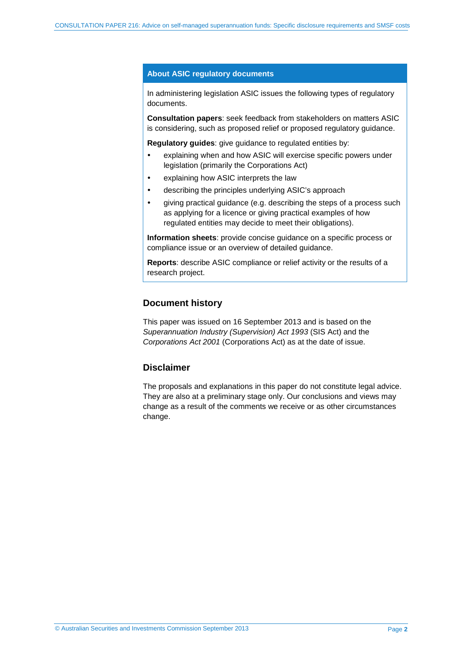#### **About ASIC regulatory documents**

In administering legislation ASIC issues the following types of regulatory documents.

**Consultation papers**: seek feedback from stakeholders on matters ASIC is considering, such as proposed relief or proposed regulatory guidance.

**Regulatory guides**: give guidance to regulated entities by:

- explaining when and how ASIC will exercise specific powers under legislation (primarily the Corporations Act)
- explaining how ASIC interprets the law
- describing the principles underlying ASIC's approach
- giving practical guidance (e.g. describing the steps of a process such as applying for a licence or giving practical examples of how regulated entities may decide to meet their obligations).

**Information sheets**: provide concise guidance on a specific process or compliance issue or an overview of detailed guidance.

**Reports**: describe ASIC compliance or relief activity or the results of a research project.

#### **Document history**

This paper was issued on 16 September 2013 and is based on the *Superannuation Industry (Supervision) Act 1993* (SIS Act) and the *Corporations Act 2001* (Corporations Act) as at the date of issue.

## **Disclaimer**

The proposals and explanations in this paper do not constitute legal advice. They are also at a preliminary stage only. Our conclusions and views may change as a result of the comments we receive or as other circumstances change.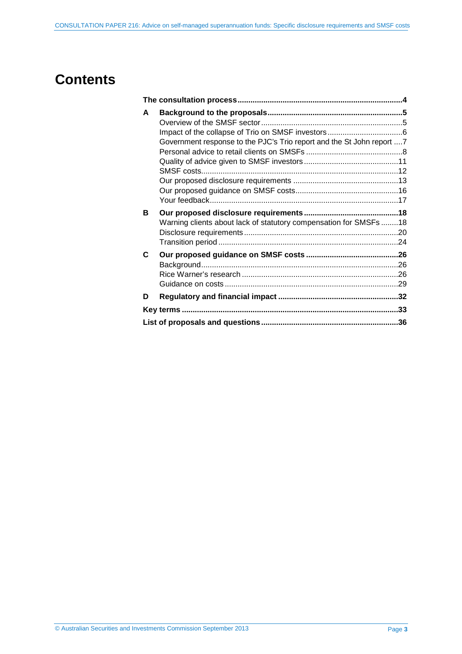# **Contents**

| A |                                                                        |  |
|---|------------------------------------------------------------------------|--|
|   |                                                                        |  |
|   |                                                                        |  |
|   | Government response to the PJC's Trio report and the St John report  7 |  |
|   |                                                                        |  |
|   |                                                                        |  |
|   |                                                                        |  |
|   |                                                                        |  |
|   |                                                                        |  |
|   |                                                                        |  |
| в |                                                                        |  |
|   | Warning clients about lack of statutory compensation for SMSFs 18      |  |
|   |                                                                        |  |
| C |                                                                        |  |
|   |                                                                        |  |
|   |                                                                        |  |
|   |                                                                        |  |
| D |                                                                        |  |
|   |                                                                        |  |
|   |                                                                        |  |
|   |                                                                        |  |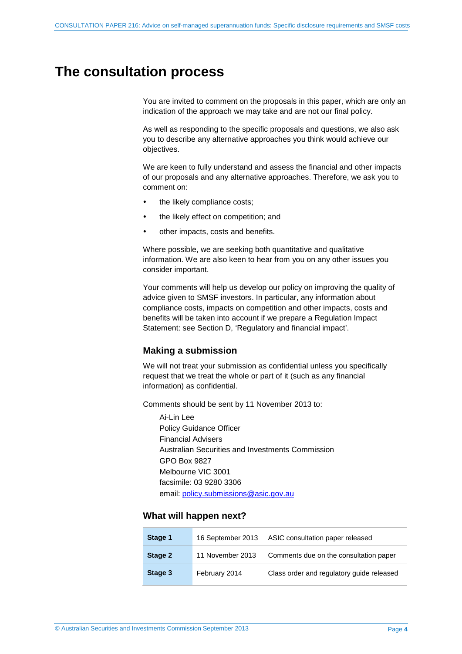# <span id="page-3-1"></span><span id="page-3-0"></span>**The consultation process**

You are invited to comment on the proposals in this paper, which are only an indication of the approach we may take and are not our final policy.

As well as responding to the specific proposals and questions, we also ask you to describe any alternative approaches you think would achieve our objectives.

We are keen to fully understand and assess the financial and other impacts of our proposals and any alternative approaches. Therefore, we ask you to comment on:

- the likely compliance costs;
- the likely effect on competition; and
- other impacts, costs and benefits.

Where possible, we are seeking both quantitative and qualitative information. We are also keen to hear from you on any other issues you consider important.

Your comments will help us develop our policy on improving the quality of advice given to SMSF investors. In particular, any information about compliance costs, impacts on competition and other impacts, costs and benefits will be taken into account if we prepare a Regulation Impact Statement: see Section [D,](#page-31-0) 'Regulatory and financial impact'.

#### **Making a submission**

We will not treat your submission as confidential unless you specifically request that we treat the whole or part of it (such as any financial information) as confidential.

Comments should be sent by 11 November 2013 to:

Ai-Lin Lee Policy Guidance Officer Financial Advisers Australian Securities and Investments Commission GPO Box 9827 Melbourne VIC 3001 facsimile: 03 9280 3306 email: [policy.submissions@asic.gov.au](mailto:policy.submissions@asic.gov.au)

#### **What will happen next?**

| Stage 1                     | 16 September 2013 | ASIC consultation paper released          |
|-----------------------------|-------------------|-------------------------------------------|
| Stage 2<br>11 November 2013 |                   | Comments due on the consultation paper    |
| Stage 3                     | February 2014     | Class order and regulatory guide released |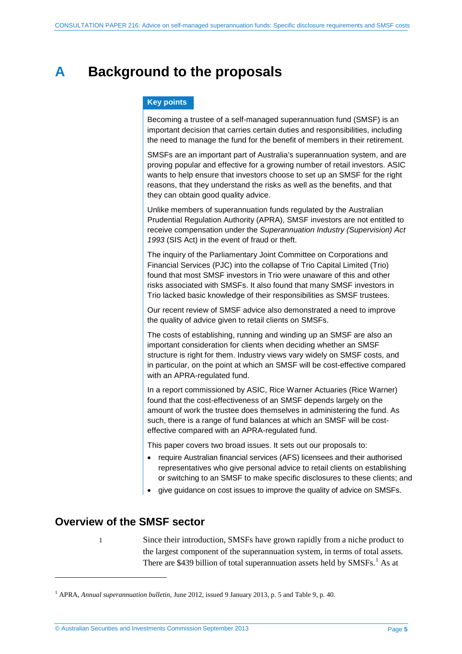# <span id="page-4-0"></span>**A Background to the proposals**

## **Key points**

Becoming a trustee of a self-managed superannuation fund (SMSF) is an important decision that carries certain duties and responsibilities, including the need to manage the fund for the benefit of members in their retirement.

SMSFs are an important part of Australia's superannuation system, and are proving popular and effective for a growing number of retail investors. ASIC wants to help ensure that investors choose to set up an SMSF for the right reasons, that they understand the risks as well as the benefits, and that they can obtain good quality advice.

Unlike members of superannuation funds regulated by the Australian Prudential Regulation Authority (APRA), SMSF investors are not entitled to receive compensation under the *Superannuation Industry (Supervision) Act 1993* (SIS Act) in the event of fraud or theft.

The inquiry of the Parliamentary Joint Committee on Corporations and Financial Services (PJC) into the collapse of Trio Capital Limited (Trio) found that most SMSF investors in Trio were unaware of this and other risks associated with SMSFs. It also found that many SMSF investors in Trio lacked basic knowledge of their responsibilities as SMSF trustees.

Our recent review of SMSF advice also demonstrated a need to improve the quality of advice given to retail clients on SMSFs.

The costs of establishing, running and winding up an SMSF are also an important consideration for clients when deciding whether an SMSF structure is right for them. Industry views vary widely on SMSF costs, and in particular, on the point at which an SMSF will be cost-effective compared with an APRA-regulated fund.

In a report commissioned by ASIC, Rice Warner Actuaries (Rice Warner) found that the cost-effectiveness of an SMSF depends largely on the amount of work the trustee does themselves in administering the fund. As such, there is a range of fund balances at which an SMSF will be costeffective compared with an APRA-regulated fund.

This paper covers two broad issues. It sets out our proposals to:

- require Australian financial services (AFS) licensees and their authorised representatives who give personal advice to retail clients on establishing or switching to an SMSF to make specific disclosures to these clients; and
- give guidance on cost issues to improve the quality of advice on SMSFs.

# <span id="page-4-1"></span>**Overview of the SMSF sector**

<u>.</u>

1 Since their introduction, SMSFs have grown rapidly from a niche product to the largest component of the superannuation system, in terms of total assets. There are \$439 billion of total superannuation assets held by SMSFs.<sup>[1](#page-4-2)</sup> As at

<span id="page-4-2"></span><sup>1</sup> APRA, *Annual superannuation bulletin,* June 2012, issued 9 January 2013, p. 5 and Table 9, p. 40.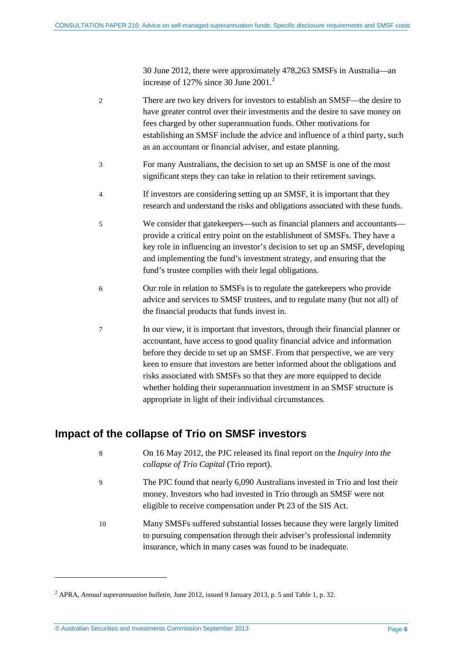30 June 2012, there were approximately 478,263 SMSFs in Australia—an increase of 1[2](#page-5-1)7% since 30 June 2001.<sup>2</sup>

| 2 | There are two key drivers for investors to establish an SMSF—the desire to   |
|---|------------------------------------------------------------------------------|
|   | have greater control over their investments and the desire to save money on  |
|   | fees charged by other superannuation funds. Other motivations for            |
|   | establishing an SMSF include the advice and influence of a third party, such |
|   | as an accountant or financial adviser, and estate planning.                  |

- 3 For many Australians, the decision to set up an SMSF is one of the most significant steps they can take in relation to their retirement savings.
- 4 If investors are considering setting up an SMSF, it is important that they research and understand the risks and obligations associated with these funds.
- 5 We consider that gatekeepers—such as financial planners and accountants provide a critical entry point on the establishment of SMSFs. They have a key role in influencing an investor's decision to set up an SMSF, developing and implementing the fund's investment strategy, and ensuring that the fund's trustee complies with their legal obligations.
- 6 Our role in relation to SMSFs is to regulate the gatekeepers who provide advice and services to SMSF trustees, and to regulate many (but not all) of the financial products that funds invest in.
- 7 In our view, it is important that investors, through their financial planner or accountant, have access to good quality financial advice and information before they decide to set up an SMSF. From that perspective, we are very keen to ensure that investors are better informed about the obligations and risks associated with SMSFs so that they are more equipped to decide whether holding their superannuation investment in an SMSF structure is appropriate in light of their individual circumstances.

# <span id="page-5-0"></span>**Impact of the collapse of Trio on SMSF investors**

- 8 On 16 May 2012, the PJC released its final report on the *Inquiry into the collapse of Trio Capital* (Trio report).
- 9 The PJC found that nearly 6,090 Australians invested in Trio and lost their money. Investors who had invested in Trio through an SMSF were not eligible to receive compensation under Pt 23 of the SIS Act.
- 10 Many SMSFs suffered substantial losses because they were largely limited to pursuing compensation through their adviser's professional indemnity insurance, which in many cases was found to be inadequate.

<u>.</u>

<span id="page-5-1"></span><sup>2</sup> APRA, *Annual superannuation bulletin,* June 2012, issued 9 January 2013, p. 5 and Table 1, p. 32.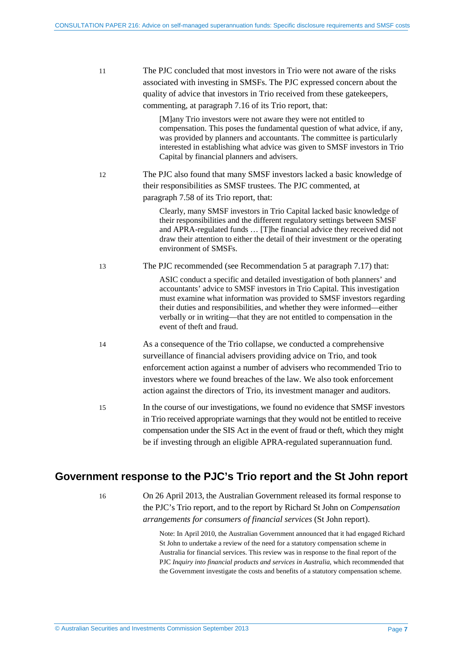<span id="page-6-3"></span><span id="page-6-2"></span><span id="page-6-1"></span>

| 11 | The PJC concluded that most investors in Trio were not aware of the risks<br>associated with investing in SMSFs. The PJC expressed concern about the<br>quality of advice that investors in Trio received from these gatekeepers,<br>commenting, at paragraph 7.16 of its Trio report, that:                                                                                                                         |
|----|----------------------------------------------------------------------------------------------------------------------------------------------------------------------------------------------------------------------------------------------------------------------------------------------------------------------------------------------------------------------------------------------------------------------|
|    | [M]any Trio investors were not aware they were not entitled to<br>compensation. This poses the fundamental question of what advice, if any,<br>was provided by planners and accountants. The committee is particularly<br>interested in establishing what advice was given to SMSF investors in Trio<br>Capital by financial planners and advisers.                                                                  |
| 12 | The PJC also found that many SMSF investors lacked a basic knowledge of<br>their responsibilities as SMSF trustees. The PJC commented, at<br>paragraph 7.58 of its Trio report, that:                                                                                                                                                                                                                                |
|    | Clearly, many SMSF investors in Trio Capital lacked basic knowledge of<br>their responsibilities and the different regulatory settings between SMSF<br>and APRA-regulated funds  [T]he financial advice they received did not<br>draw their attention to either the detail of their investment or the operating<br>environment of SMSFs.                                                                             |
| 13 | The PJC recommended (see Recommendation 5 at paragraph 7.17) that:                                                                                                                                                                                                                                                                                                                                                   |
|    | ASIC conduct a specific and detailed investigation of both planners' and<br>accountants' advice to SMSF investors in Trio Capital. This investigation<br>must examine what information was provided to SMSF investors regarding<br>their duties and responsibilities, and whether they were informed—either<br>verbally or in writing-that they are not entitled to compensation in the<br>event of theft and fraud. |
| 14 | As a consequence of the Trio collapse, we conducted a comprehensive<br>surveillance of financial advisers providing advice on Trio, and took<br>enforcement action against a number of advisers who recommended Trio to<br>investors where we found breaches of the law. We also took enforcement<br>action against the directors of Trio, its investment manager and auditors.                                      |
| 15 | In the course of our investigations, we found no evidence that SMSF investors<br>in Trio received appropriate warnings that they would not be entitled to receive<br>compensation under the SIS Act in the event of fraud or theft, which they might<br>be if investing through an eligible APRA-regulated superannuation fund.                                                                                      |

# <span id="page-6-0"></span>**Government response to the PJC's Trio report and the St John report**

16 On 26 April 2013, the Australian Government released its formal response to the PJC's Trio report, and to the report by Richard St John on *Compensation arrangements for consumers of financial services* (St John report).

> Note: In April 2010, the Australian Government announced that it had engaged Richard St John to undertake a review of the need for a statutory compensation scheme in Australia for financial services. This review was in response to the final report of the PJC *Inquiry into financial products and services in Australia*, which recommended that the Government investigate the costs and benefits of a statutory compensation scheme.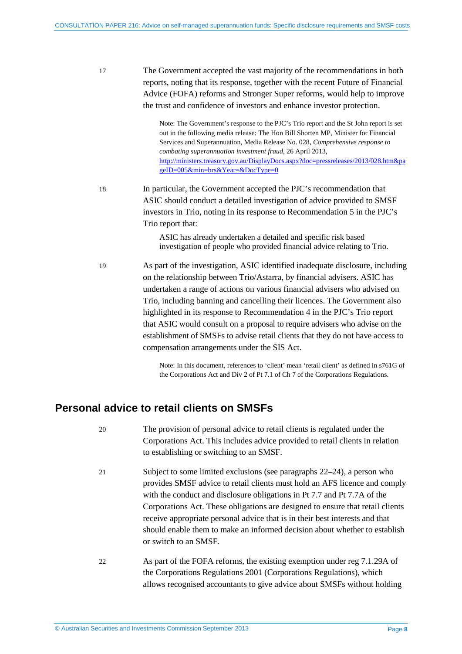17 The Government accepted the vast majority of the recommendations in both reports, noting that its response, together with the recent Future of Financial Advice (FOFA) reforms and Stronger Super reforms, would help to improve the trust and confidence of investors and enhance investor protection.

> Note: The Government's response to the PJC's Trio report and the St John report is set out in the following media release: The Hon Bill Shorten MP, Minister for Financial Services and Superannuation, Media Release No. 028, *Comprehensive response to combating superannuation investment fraud*, 26 April 2013, [http://ministers.treasury.gov.au/DisplayDocs.aspx?doc=pressreleases/2013/028.htm&pa](http://ministers.treasury.gov.au/DisplayDocs.aspx?doc=pressreleases/2013/028.htm&pageID=005&min=brs&Year=&DocType=0) [geID=005&min=brs&Year=&DocType=0](http://ministers.treasury.gov.au/DisplayDocs.aspx?doc=pressreleases/2013/028.htm&pageID=005&min=brs&Year=&DocType=0)

<span id="page-7-2"></span>18 In particular, the Government accepted the PJC's recommendation that ASIC should conduct a detailed investigation of advice provided to SMSF investors in Trio, noting in its response to Recommendation 5 in the PJC's Trio report that:

> <span id="page-7-3"></span>ASIC has already undertaken a detailed and specific risk based investigation of people who provided financial advice relating to Trio.

19 As part of the investigation, ASIC identified inadequate disclosure, including on the relationship between Trio/Astarra, by financial advisers. ASIC has undertaken a range of actions on various financial advisers who advised on Trio, including banning and cancelling their licences. The Government also highlighted in its response to Recommendation 4 in the PJC's Trio report that ASIC would consult on a proposal to require advisers who advise on the establishment of SMSFs to advise retail clients that they do not have access to compensation arrangements under the SIS Act.

> Note: In this document, references to 'client' mean 'retail client' as defined in s761G of the Corporations Act and Div 2 of Pt 7.1 of Ch 7 of the Corporations Regulations.

# <span id="page-7-4"></span><span id="page-7-0"></span>**Personal advice to retail clients on SMSFs**

- 20 The provision of personal advice to retail clients is regulated under the Corporations Act. This includes advice provided to retail clients in relation to establishing or switching to an SMSF.
- 21 Subject to some limited exclusions (see paragraphs [22](#page-7-1)[–24\)](#page-8-0), a person who provides SMSF advice to retail clients must hold an AFS licence and comply with the conduct and disclosure obligations in Pt 7.7 and Pt 7.7A of the Corporations Act. These obligations are designed to ensure that retail clients receive appropriate personal advice that is in their best interests and that should enable them to make an informed decision about whether to establish or switch to an SMSF.
- <span id="page-7-1"></span>22 As part of the FOFA reforms, the existing exemption under reg 7.1.29A of the Corporations Regulations 2001 (Corporations Regulations), which allows recognised accountants to give advice about SMSFs without holding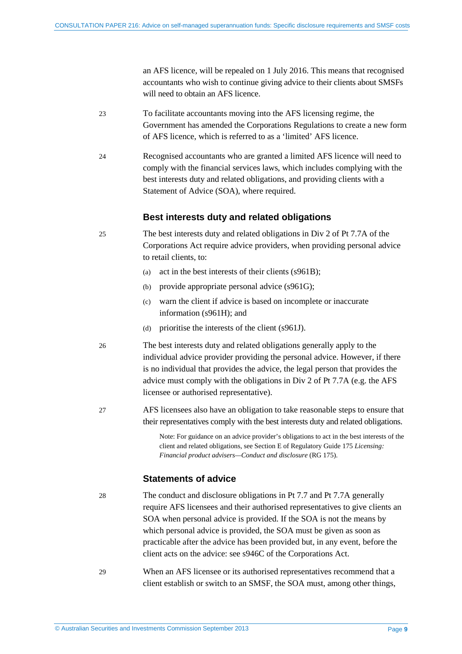an AFS licence, will be repealed on 1 July 2016. This means that recognised accountants who wish to continue giving advice to their clients about SMSFs will need to obtain an AFS licence.

- 23 To facilitate accountants moving into the AFS licensing regime, the Government has amended the Corporations Regulations to create a new form of AFS licence, which is referred to as a 'limited' AFS licence.
- <span id="page-8-0"></span>24 Recognised accountants who are granted a limited AFS licence will need to comply with the financial services laws, which includes complying with the best interests duty and related obligations, and providing clients with a Statement of Advice (SOA), where required.

## **Best interests duty and related obligations**

- 25 The best interests duty and related obligations in Div 2 of Pt 7.7A of the Corporations Act require advice providers, when providing personal advice to retail clients, to:
	- (a) act in the best interests of their clients (s961B);
	- (b) provide appropriate personal advice (s961G);
	- (c) warn the client if advice is based on incomplete or inaccurate information (s961H); and
	- (d) prioritise the interests of the client (s961J).
- 26 The best interests duty and related obligations generally apply to the individual advice provider providing the personal advice. However, if there is no individual that provides the advice, the legal person that provides the advice must comply with the obligations in Div 2 of Pt 7.7A (e.g. the AFS licensee or authorised representative).
- 27 AFS licensees also have an obligation to take reasonable steps to ensure that their representatives comply with the best interests duty and related obligations.

Note: For guidance on an advice provider's obligations to act in the best interests of the client and related obligations, see Section E of Regulatory Guide 175 *Licensing: Financial product advisers—Conduct and disclosure* (RG 175).

## **Statements of advice**

28 The conduct and disclosure obligations in Pt 7.7 and Pt 7.7A generally require AFS licensees and their authorised representatives to give clients an SOA when personal advice is provided. If the SOA is not the means by which personal advice is provided, the SOA must be given as soon as practicable after the advice has been provided but, in any event, before the client acts on the advice: see s946C of the Corporations Act.

29 When an AFS licensee or its authorised representatives recommend that a client establish or switch to an SMSF, the SOA must, among other things,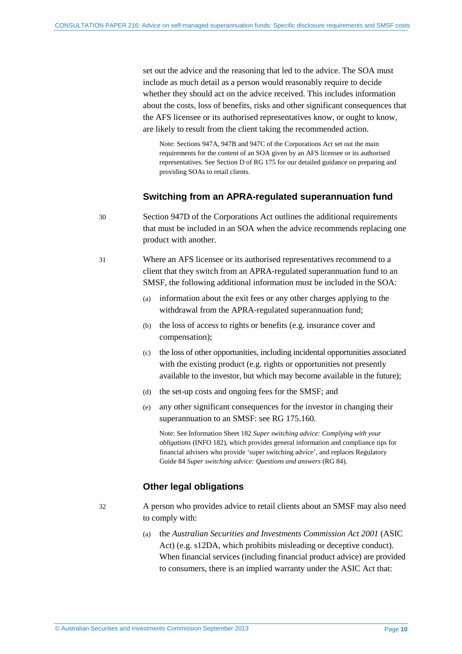set out the advice and the reasoning that led to the advice. The SOA must include as much detail as a person would reasonably require to decide whether they should act on the advice received. This includes information about the costs, loss of benefits, risks and other significant consequences that the AFS licensee or its authorised representatives know, or ought to know, are likely to result from the client taking the recommended action.

Note: Sections 947A, 947B and 947C of the Corporations Act set out the main requirements for the content of an SOA given by an AFS licensee or its authorised representatives. See Section D of RG 175 for our detailed guidance on preparing and providing SOAs to retail clients.

#### **Switching from an APRA-regulated superannuation fund**

<span id="page-9-0"></span>30 Section 947D of the Corporations Act outlines the additional requirements that must be included in an SOA when the advice recommends replacing one product with another.

<span id="page-9-1"></span>31 Where an AFS licensee or its authorised representatives recommend to a client that they switch from an APRA-regulated superannuation fund to an SMSF, the following additional information must be included in the SOA:

- (a) information about the exit fees or any other charges applying to the withdrawal from the APRA-regulated superannuation fund;
- (b) the loss of access to rights or benefits (e.g. insurance cover and compensation);
- (c) the loss of other opportunities, including incidental opportunities associated with the existing product (e.g. rights or opportunities not presently available to the investor, but which may become available in the future);
- (d) the set-up costs and ongoing fees for the SMSF; and
- (e) any other significant consequences for the investor in changing their superannuation to an SMSF: see RG 175.160.

Note: See Information Sheet 182 *Super switching advice: Complying with your obligations* (INFO 182), which provides general information and compliance tips for financial advisers who provide 'super switching advice', and replaces Regulatory Guide 84 *Super switching advice: Questions and answers* (RG 84).

## **Other legal obligations**

<span id="page-9-2"></span>32 A person who provides advice to retail clients about an SMSF may also need to comply with:

> (a) the *Australian Securities and Investments Commission Act 2001* (ASIC Act) (e.g. s12DA, which prohibits misleading or deceptive conduct). When financial services (including financial product advice) are provided to consumers, there is an implied warranty under the ASIC Act that: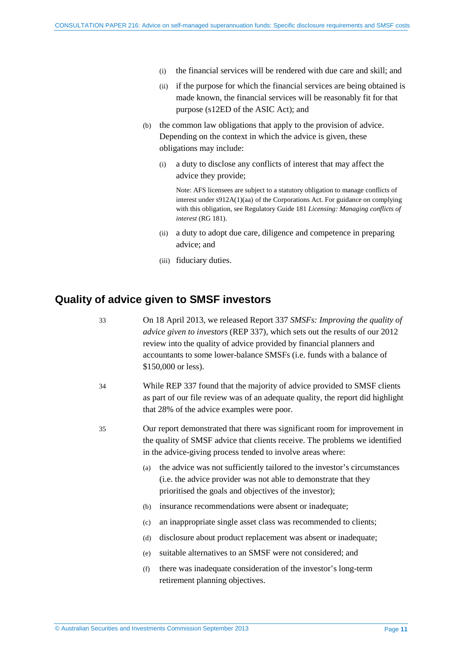- (i) the financial services will be rendered with due care and skill; and
- (ii) if the purpose for which the financial services are being obtained is made known, the financial services will be reasonably fit for that purpose (s12ED of the ASIC Act); and
- (b) the common law obligations that apply to the provision of advice. Depending on the context in which the advice is given, these obligations may include:
	- (i) a duty to disclose any conflicts of interest that may affect the advice they provide;

Note: AFS licensees are subject to a statutory obligation to manage conflicts of interest under s912A(1)(aa) of the Corporations Act. For guidance on complying with this obligation, see Regulatory Guide 181 *Licensing: Managing conflicts of interest* (RG 181).

- (ii) a duty to adopt due care, diligence and competence in preparing advice; and
- (iii) fiduciary duties.

# <span id="page-10-0"></span>**Quality of advice given to SMSF investors**

33 On 18 April 2013, we released Report 337 *SMSFs: Improving the quality of advice given to investors* (REP 337), which sets out the results of our 2012 review into the quality of advice provided by financial planners and accountants to some lower-balance SMSFs (i.e. funds with a balance of \$150,000 or less). 34 While REP 337 found that the majority of advice provided to SMSF clients as part of our file review was of an adequate quality, the report did highlight that 28% of the advice examples were poor. 35 Our report demonstrated that there was significant room for improvement in the quality of SMSF advice that clients receive. The problems we identified in the advice-giving process tended to involve areas where: (a) the advice was not sufficiently tailored to the investor's circumstances (i.e. the advice provider was not able to demonstrate that they prioritised the goals and objectives of the investor); (b) insurance recommendations were absent or inadequate; (c) an inappropriate single asset class was recommended to clients; (d) disclosure about product replacement was absent or inadequate; (e) suitable alternatives to an SMSF were not considered; and (f) there was inadequate consideration of the investor's long-term retirement planning objectives.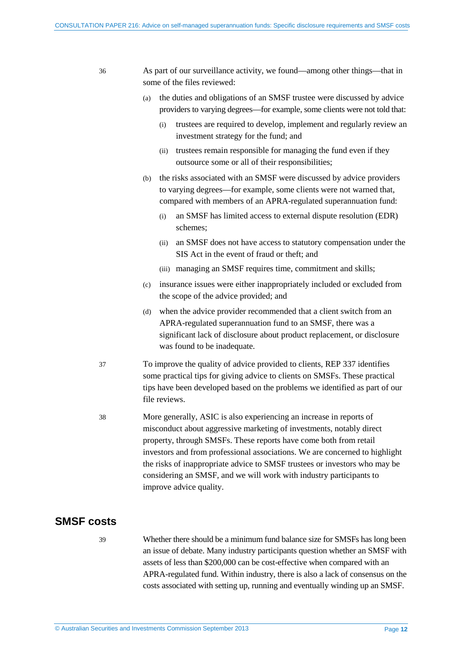| 36                                                                                                                                                                                                                                                           | As part of our surveillance activity, we found—among other things—that in<br>some of the files reviewed:                                                                                                                                                                                                                                                                                                                                                                        |  |
|--------------------------------------------------------------------------------------------------------------------------------------------------------------------------------------------------------------------------------------------------------------|---------------------------------------------------------------------------------------------------------------------------------------------------------------------------------------------------------------------------------------------------------------------------------------------------------------------------------------------------------------------------------------------------------------------------------------------------------------------------------|--|
|                                                                                                                                                                                                                                                              | the duties and obligations of an SMSF trustee were discussed by advice<br>(a)<br>providers to varying degrees—for example, some clients were not told that:<br>trustees are required to develop, implement and regularly review an<br>(i)<br>investment strategy for the fund; and                                                                                                                                                                                              |  |
|                                                                                                                                                                                                                                                              | trustees remain responsible for managing the fund even if they<br>(ii)<br>outsource some or all of their responsibilities;                                                                                                                                                                                                                                                                                                                                                      |  |
|                                                                                                                                                                                                                                                              | the risks associated with an SMSF were discussed by advice providers<br>(b)<br>to varying degrees—for example, some clients were not warned that,<br>compared with members of an APRA-regulated superannuation fund:                                                                                                                                                                                                                                                            |  |
|                                                                                                                                                                                                                                                              | an SMSF has limited access to external dispute resolution (EDR)<br>(i)<br>schemes;                                                                                                                                                                                                                                                                                                                                                                                              |  |
|                                                                                                                                                                                                                                                              | an SMSF does not have access to statutory compensation under the<br>(ii)<br>SIS Act in the event of fraud or theft; and                                                                                                                                                                                                                                                                                                                                                         |  |
|                                                                                                                                                                                                                                                              | (iii) managing an SMSF requires time, commitment and skills;                                                                                                                                                                                                                                                                                                                                                                                                                    |  |
|                                                                                                                                                                                                                                                              | insurance issues were either inappropriately included or excluded from<br>(c)<br>the scope of the advice provided; and                                                                                                                                                                                                                                                                                                                                                          |  |
|                                                                                                                                                                                                                                                              | when the advice provider recommended that a client switch from an<br>(d)<br>APRA-regulated superannuation fund to an SMSF, there was a<br>significant lack of disclosure about product replacement, or disclosure<br>was found to be inadequate.                                                                                                                                                                                                                                |  |
| To improve the quality of advice provided to clients, REP 337 identifies<br>37<br>some practical tips for giving advice to clients on SMSFs. These practical<br>tips have been developed based on the problems we identified as part of our<br>file reviews. |                                                                                                                                                                                                                                                                                                                                                                                                                                                                                 |  |
| 38                                                                                                                                                                                                                                                           | More generally, ASIC is also experiencing an increase in reports of<br>misconduct about aggressive marketing of investments, notably direct<br>property, through SMSFs. These reports have come both from retail<br>investors and from professional associations. We are concerned to highlight<br>the risks of inappropriate advice to SMSF trustees or investors who may be<br>considering an SMSF, and we will work with industry participants to<br>improve advice quality. |  |
| <b>SMSF costs</b>                                                                                                                                                                                                                                            |                                                                                                                                                                                                                                                                                                                                                                                                                                                                                 |  |
| 30                                                                                                                                                                                                                                                           | Whether there should be a minimum fund balance size for SMSEs has long been                                                                                                                                                                                                                                                                                                                                                                                                     |  |

<span id="page-11-1"></span><span id="page-11-0"></span>39 Whether there should be a minimum fund balance size for SMSFs has long been an issue of debate. Many industry participants question whether an SMSF with assets of less than \$200,000 can be cost-effective when compared with an APRA-regulated fund. Within industry, there is also a lack of consensus on the costs associated with setting up, running and eventually winding up an SMSF.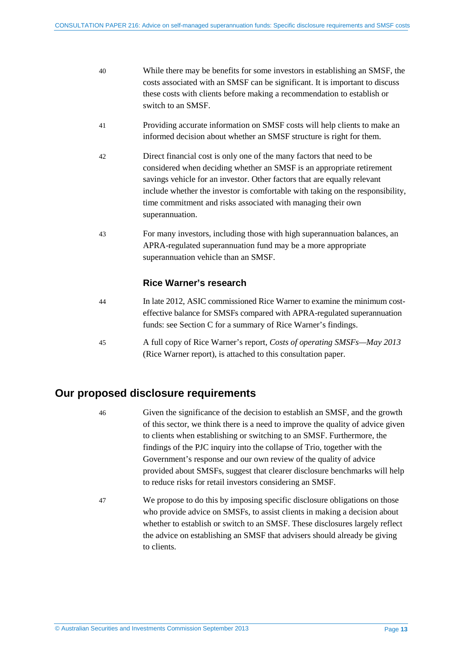| 40 | While there may be benefits for some investors in establishing an SMSF, the  |
|----|------------------------------------------------------------------------------|
|    | costs associated with an SMSF can be significant. It is important to discuss |
|    | these costs with clients before making a recommendation to establish or      |
|    | switch to an SMSF.                                                           |

- 41 Providing accurate information on SMSF costs will help clients to make an informed decision about whether an SMSF structure is right for them.
- <span id="page-12-1"></span>42 Direct financial cost is only one of the many factors that need to be considered when deciding whether an SMSF is an appropriate retirement savings vehicle for an investor. Other factors that are equally relevant include whether the investor is comfortable with taking on the responsibility, time commitment and risks associated with managing their own superannuation.
- 43 For many investors, including those with high superannuation balances, an APRA-regulated superannuation fund may be a more appropriate superannuation vehicle than an SMSF.

## **Rice Warner's research**

- 44 In late 2012, ASIC commissioned Rice Warner to examine the minimum costeffective balance for SMSFs compared with APRA-regulated superannuation funds: see Section [C](#page-25-0) for a summary of Rice Warner's findings.
- 45 A full copy of Rice Warner's report, *Costs of operating SMSFs—May 2013* (Rice Warner report), is attached to this consultation paper.

# <span id="page-12-0"></span>**Our proposed disclosure requirements**

- 46 Given the significance of the decision to establish an SMSF, and the growth of this sector, we think there is a need to improve the quality of advice given to clients when establishing or switching to an SMSF. Furthermore, the findings of the PJC inquiry into the collapse of Trio, together with the Government's response and our own review of the quality of advice provided about SMSFs, suggest that clearer disclosure benchmarks will help to reduce risks for retail investors considering an SMSF.
- 47 We propose to do this by imposing specific disclosure obligations on those who provide advice on SMSFs, to assist clients in making a decision about whether to establish or switch to an SMSF. These disclosures largely reflect the advice on establishing an SMSF that advisers should already be giving to clients.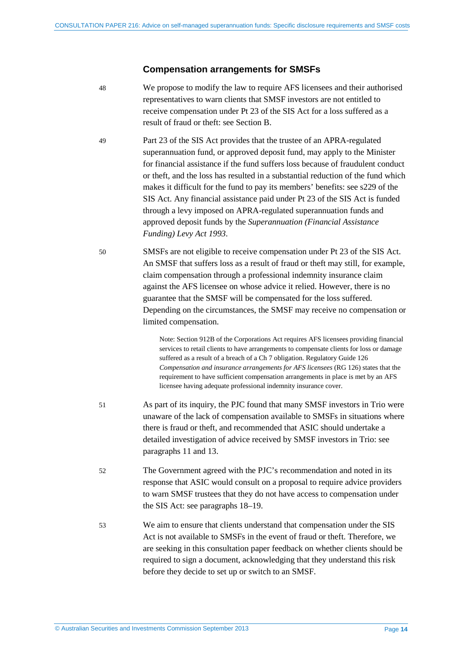#### **Compensation arrangements for SMSFs**

- 48 We propose to modify the law to require AFS licensees and their authorised representatives to warn clients that SMSF investors are not entitled to receive compensation under Pt 23 of the SIS Act for a loss suffered as a result of fraud or theft: see Section [B.](#page-17-0)
- 49 Part 23 of the SIS Act provides that the trustee of an APRA-regulated superannuation fund, or approved deposit fund, may apply to the Minister for financial assistance if the fund suffers loss because of fraudulent conduct or theft, and the loss has resulted in a substantial reduction of the fund which makes it difficult for the fund to pay its members' benefits: see s229 of the SIS Act. Any financial assistance paid under Pt 23 of the SIS Act is funded through a levy imposed on APRA-regulated superannuation funds and approved deposit funds by the *Superannuation (Financial Assistance Funding) Levy Act 1993*.
- 50 SMSFs are not eligible to receive compensation under Pt 23 of the SIS Act. An SMSF that suffers loss as a result of fraud or theft may still, for example, claim compensation through a professional indemnity insurance claim against the AFS licensee on whose advice it relied. However, there is no guarantee that the SMSF will be compensated for the loss suffered. Depending on the circumstances, the SMSF may receive no compensation or limited compensation.

Note: Section 912B of the Corporations Act requires AFS licensees providing financial services to retail clients to have arrangements to compensate clients for loss or damage suffered as a result of a breach of a Ch 7 obligation. Regulatory Guide 126 *Compensation and insurance arrangements for AFS licensees* (RG 126) states that the requirement to have sufficient compensation arrangements in place is met by an AFS licensee having adequate professional indemnity insurance cover.

- 51 As part of its inquiry, the PJC found that many SMSF investors in Trio were unaware of the lack of compensation available to SMSFs in situations where there is fraud or theft, and recommended that ASIC should undertake a detailed investigation of advice received by SMSF investors in Trio: see paragraphs [11](#page-6-1) an[d 13.](#page-6-2)
- 52 The Government agreed with the PJC's recommendation and noted in its response that ASIC would consult on a proposal to require advice providers to warn SMSF trustees that they do not have access to compensation under the SIS Act: see paragraphs [18–](#page-7-2)[19.](#page-7-3)
- 53 We aim to ensure that clients understand that compensation under the SIS Act is not available to SMSFs in the event of fraud or theft. Therefore, we are seeking in this consultation paper feedback on whether clients should be required to sign a document, acknowledging that they understand this risk before they decide to set up or switch to an SMSF.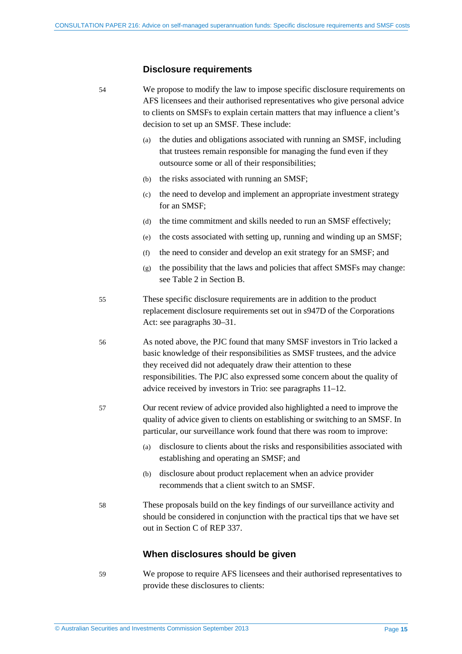# **Disclosure requirements**

| 54 | We propose to modify the law to impose specific disclosure requirements on<br>AFS licensees and their authorised representatives who give personal advice<br>to clients on SMSFs to explain certain matters that may influence a client's<br>decision to set up an SMSF. These include:                                                                              |  |
|----|----------------------------------------------------------------------------------------------------------------------------------------------------------------------------------------------------------------------------------------------------------------------------------------------------------------------------------------------------------------------|--|
|    | the duties and obligations associated with running an SMSF, including<br>(a)<br>that trustees remain responsible for managing the fund even if they<br>outsource some or all of their responsibilities;                                                                                                                                                              |  |
|    | the risks associated with running an SMSF;<br>(b)                                                                                                                                                                                                                                                                                                                    |  |
|    | the need to develop and implement an appropriate investment strategy<br>(c)<br>for an SMSF;                                                                                                                                                                                                                                                                          |  |
|    | the time commitment and skills needed to run an SMSF effectively;<br>(d)                                                                                                                                                                                                                                                                                             |  |
|    | the costs associated with setting up, running and winding up an SMSF;<br>(e)                                                                                                                                                                                                                                                                                         |  |
|    | the need to consider and develop an exit strategy for an SMSF; and<br>(f)                                                                                                                                                                                                                                                                                            |  |
|    | the possibility that the laws and policies that affect SMSFs may change:<br>(g)<br>see Table 2 in Section B.                                                                                                                                                                                                                                                         |  |
| 55 | These specific disclosure requirements are in addition to the product<br>replacement disclosure requirements set out in s947D of the Corporations<br>Act: see paragraphs 30–31.                                                                                                                                                                                      |  |
| 56 | As noted above, the PJC found that many SMSF investors in Trio lacked a<br>basic knowledge of their responsibilities as SMSF trustees, and the advice<br>they received did not adequately draw their attention to these<br>responsibilities. The PJC also expressed some concern about the quality of<br>advice received by investors in Trio: see paragraphs 11–12. |  |
| 57 | Our recent review of advice provided also highlighted a need to improve the<br>quality of advice given to clients on establishing or switching to an SMSF. In<br>particular, our surveillance work found that there was room to improve:                                                                                                                             |  |
|    | disclosure to clients about the risks and responsibilities associated with<br>(a)<br>establishing and operating an SMSF; and                                                                                                                                                                                                                                         |  |
|    | disclosure about product replacement when an advice provider<br>(b)<br>recommends that a client switch to an SMSF.                                                                                                                                                                                                                                                   |  |
| 58 | These proposals build on the key findings of our surveillance activity and<br>should be considered in conjunction with the practical tips that we have set<br>out in Section C of REP 337.                                                                                                                                                                           |  |
|    | When disclosures should be given                                                                                                                                                                                                                                                                                                                                     |  |

59 We propose to require AFS licensees and their authorised representatives to provide these disclosures to clients: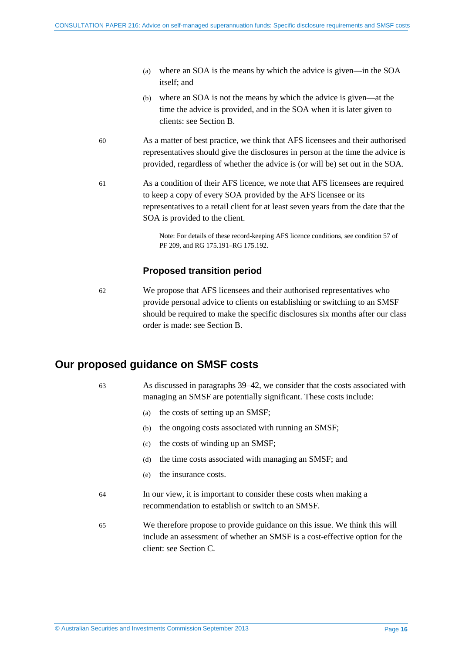- (a) where an SOA is the means by which the advice is given—in the SOA itself; and
- (b) where an SOA is not the means by which the advice is given—at the time the advice is provided, and in the SOA when it is later given to clients: see Sectio[n B.](#page-17-0)
- 60 As a matter of best practice, we think that AFS licensees and their authorised representatives should give the disclosures in person at the time the advice is provided, regardless of whether the advice is (or will be) set out in the SOA.
- 61 As a condition of their AFS licence, we note that AFS licensees are required to keep a copy of every SOA provided by the AFS licensee or its representatives to a retail client for at least seven years from the date that the SOA is provided to the client.

Note: For details of these record-keeping AFS licence conditions, see condition 57 of PF 209, and RG 175.191–RG 175.192.

# **Proposed transition period**

62 We propose that AFS licensees and their authorised representatives who provide personal advice to clients on establishing or switching to an SMSF should be required to make the specific disclosures six months after our class order is made: see Section [B.](#page-17-0)

# <span id="page-15-0"></span>**Our proposed guidance on SMSF costs**

63 As discussed in paragraphs [39–](#page-11-1)[42,](#page-12-1) we consider that the costs associated with managing an SMSF are potentially significant. These costs include:

- (a) the costs of setting up an SMSF;
- (b) the ongoing costs associated with running an SMSF;
- (c) the costs of winding up an SMSF;
- (d) the time costs associated with managing an SMSF; and
- (e) the insurance costs.
- 64 In our view, it is important to consider these costs when making a recommendation to establish or switch to an SMSF.
- 65 We therefore propose to provide guidance on this issue. We think this will include an assessment of whether an SMSF is a cost-effective option for the client: see Section [C.](#page-25-0)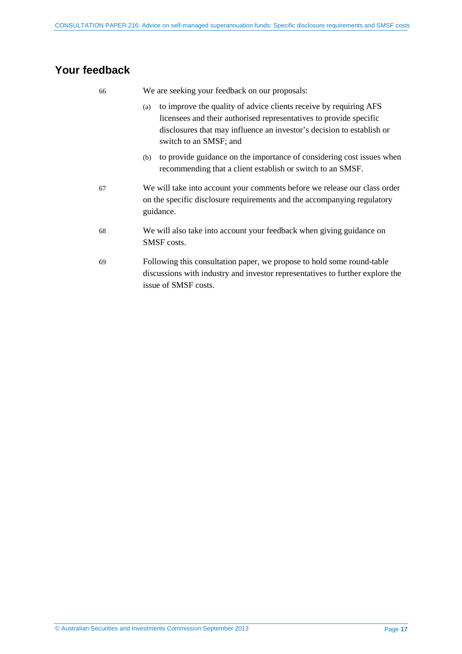# <span id="page-16-0"></span>**Your feedback**

| 66 | We are seeking your feedback on our proposals:                                                                                                                                                                                                    |  |
|----|---------------------------------------------------------------------------------------------------------------------------------------------------------------------------------------------------------------------------------------------------|--|
|    | to improve the quality of advice clients receive by requiring AFS<br>(a)<br>licensees and their authorised representatives to provide specific<br>disclosures that may influence an investor's decision to establish or<br>switch to an SMSF; and |  |
|    | to provide guidance on the importance of considering cost issues when<br>(b)<br>recommending that a client establish or switch to an SMSF.                                                                                                        |  |
| 67 | We will take into account your comments before we release our class order<br>on the specific disclosure requirements and the accompanying regulatory<br>guidance.                                                                                 |  |
| 68 | We will also take into account your feedback when giving guidance on<br>SMSF costs.                                                                                                                                                               |  |
| 69 | Following this consultation paper, we propose to hold some round-table<br>discussions with industry and investor representatives to further explore the<br>issue of SMSF costs.                                                                   |  |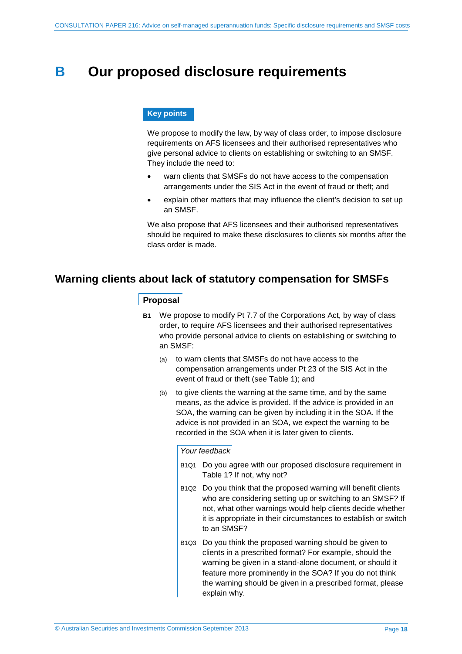# <span id="page-17-0"></span>**B Our proposed disclosure requirements**

#### **Key points**

We propose to modify the law, by way of class order, to impose disclosure requirements on AFS licensees and their authorised representatives who give personal advice to clients on establishing or switching to an SMSF. They include the need to:

- warn clients that SMSFs do not have access to the compensation arrangements under the SIS Act in the event of fraud or theft; and
- explain other matters that may influence the client's decision to set up an SMSF.

We also propose that AFS licensees and their authorised representatives should be required to make these disclosures to clients six months after the class order is made.

# <span id="page-17-1"></span>**Warning clients about lack of statutory compensation for SMSFs**

#### **Proposal**

- **B1** We propose to modify Pt 7.7 of the Corporations Act, by way of class order, to require AFS licensees and their authorised representatives who provide personal advice to clients on establishing or switching to an SMSF:
	- (a) to warn clients that SMSFs do not have access to the compensation arrangements under Pt 23 of the SIS Act in the event of fraud or theft (see [Table 1\)](#page-18-0); and
	- (b) to give clients the warning at the same time, and by the same means, as the advice is provided. If the advice is provided in an SOA, the warning can be given by including it in the SOA. If the advice is not provided in an SOA, we expect the warning to be recorded in the SOA when it is later given to clients.

#### *Your feedback*

- B1Q1 Do you agree with our proposed disclosure requirement in [Table 1?](#page-18-0) If not, why not?
- B1Q2 Do you think that the proposed warning will benefit clients who are considering setting up or switching to an SMSF? If not, what other warnings would help clients decide whether it is appropriate in their circumstances to establish or switch to an SMSF?
- B1Q3 Do you think the proposed warning should be given to clients in a prescribed format? For example, should the warning be given in a stand-alone document, or should it feature more prominently in the SOA? If you do not think the warning should be given in a prescribed format, please explain why.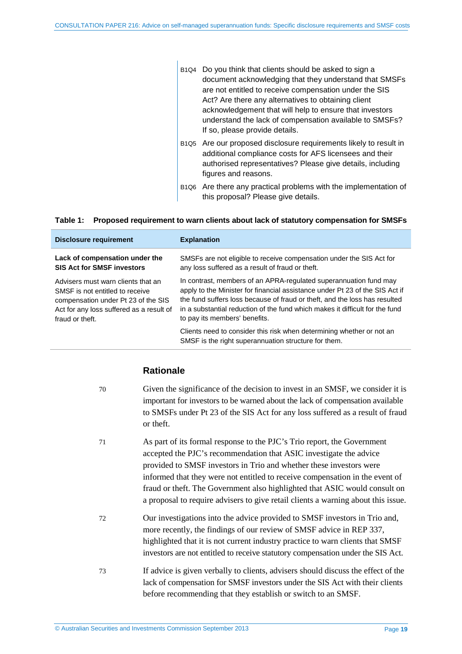|  | B <sub>1Q4</sub> Do you think that clients should be asked to sign a<br>document acknowledging that they understand that SMSFs<br>are not entitled to receive compensation under the SIS<br>Act? Are there any alternatives to obtaining client<br>acknowledgement that will help to ensure that investors<br>understand the lack of compensation available to SMSFs?<br>If so, please provide details. |
|--|---------------------------------------------------------------------------------------------------------------------------------------------------------------------------------------------------------------------------------------------------------------------------------------------------------------------------------------------------------------------------------------------------------|
|  | B1Q5 Are our proposed disclosure requirements likely to result in<br>additional compliance costs for AFS licensees and their<br>authorised representatives? Please give details, including<br>figures and reasons.                                                                                                                                                                                      |

B1Q6 Are there any practical problems with the implementation of this proposal? Please give details.

| <b>Disclosure requirement</b>            | <b>Explanation</b>                                                                                                            |
|------------------------------------------|-------------------------------------------------------------------------------------------------------------------------------|
| Lack of compensation under the           | SMSFs are not eligible to receive compensation under the SIS Act for                                                          |
| <b>SIS Act for SMSF investors</b>        | any loss suffered as a result of fraud or theft.                                                                              |
| Advisers must warn clients that an       | In contrast, members of an APRA-regulated superannuation fund may                                                             |
| SMSF is not entitled to receive          | apply to the Minister for financial assistance under Pt 23 of the SIS Act if                                                  |
| compensation under Pt 23 of the SIS      | the fund suffers loss because of fraud or theft, and the loss has resulted                                                    |
| Act for any loss suffered as a result of | in a substantial reduction of the fund which makes it difficult for the fund                                                  |
| fraud or theft.                          | to pay its members' benefits.                                                                                                 |
|                                          | Clients need to consider this risk when determining whether or not an<br>SMSF is the right superannuation structure for them. |

#### <span id="page-18-0"></span>**Table 1: Proposed requirement to warn clients about lack of statutory compensation for SMSFs**

# **Rationale**

| 70 | Given the significance of the decision to invest in an SMSF, we consider it is<br>important for investors to be warned about the lack of compensation available<br>to SMSFs under Pt 23 of the SIS Act for any loss suffered as a result of fraud<br>or theft.                                                                                                                                                                                                          |
|----|-------------------------------------------------------------------------------------------------------------------------------------------------------------------------------------------------------------------------------------------------------------------------------------------------------------------------------------------------------------------------------------------------------------------------------------------------------------------------|
| 71 | As part of its formal response to the PJC's Trio report, the Government<br>accepted the PJC's recommendation that ASIC investigate the advice<br>provided to SMSF investors in Trio and whether these investors were<br>informed that they were not entitled to receive compensation in the event of<br>fraud or theft. The Government also highlighted that ASIC would consult on<br>a proposal to require advisers to give retail clients a warning about this issue. |
| 72 | Our investigations into the advice provided to SMSF investors in Trio and,<br>more recently, the findings of our review of SMSF advice in REP 337,<br>highlighted that it is not current industry practice to warn clients that SMSF<br>investors are not entitled to receive statutory compensation under the SIS Act.                                                                                                                                                 |
| 73 | If advice is given verbally to clients, advisers should discuss the effect of the<br>lack of compensation for SMSF investors under the SIS Act with their clients<br>before recommending that they establish or switch to an SMSF.                                                                                                                                                                                                                                      |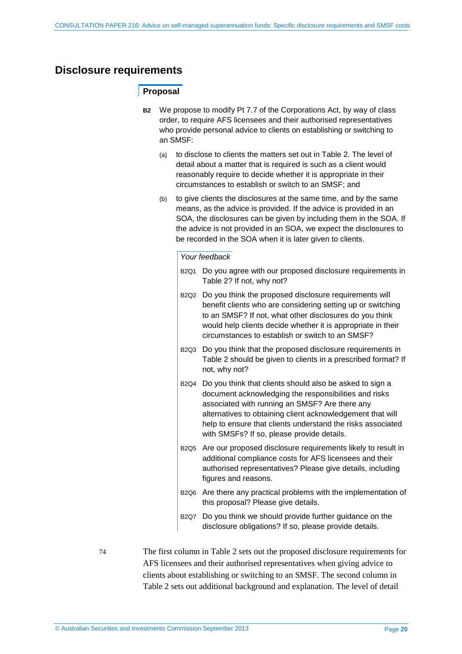# <span id="page-19-0"></span>**Disclosure requirements**

## **Proposal**

- **B2** We propose to modify Pt 7.7 of the Corporations Act, by way of class order, to require AFS licensees and their authorised representatives who provide personal advice to clients on establishing or switching to an SMSF:
	- (a) to disclose to clients the matters set out in [Table 2.](#page-20-0) The level of detail about a matter that is required is such as a client would reasonably require to decide whether it is appropriate in their circumstances to establish or switch to an SMSF; and
	- (b) to give clients the disclosures at the same time, and by the same means, as the advice is provided. If the advice is provided in an SOA, the disclosures can be given by including them in the SOA. If the advice is not provided in an SOA, we expect the disclosures to be recorded in the SOA when it is later given to clients.

#### *Your feedback*

- B2Q1 Do you agree with our proposed disclosure requirements in [Table 2?](#page-20-0) If not, why not?
- B2Q2 Do you think the proposed disclosure requirements will benefit clients who are considering setting up or switching to an SMSF? If not, what other disclosures do you think would help clients decide whether it is appropriate in their circumstances to establish or switch to an SMSF?
- B2Q3 Do you think that the proposed disclosure requirements in [Table 2](#page-20-0) should be given to clients in a prescribed format? If not, why not?
- B<sub>2Q4</sub> Do you think that clients should also be asked to sign a document acknowledging the responsibilities and risks associated with running an SMSF? Are there any alternatives to obtaining client acknowledgement that will help to ensure that clients understand the risks associated with SMSFs? If so, please provide details.
- B2Q5 Are our proposed disclosure requirements likely to result in additional compliance costs for AFS licensees and their authorised representatives? Please give details, including figures and reasons.
- B2Q6 Are there any practical problems with the implementation of this proposal? Please give details.
- B2Q7 Do you think we should provide further guidance on the disclosure obligations? If so, please provide details.

74 The first column i[n Table 2](#page-20-0) sets out the proposed disclosure requirements for AFS licensees and their authorised representatives when giving advice to clients about establishing or switching to an SMSF. The second column in [Table 2](#page-20-0) sets out additional background and explanation. The level of detail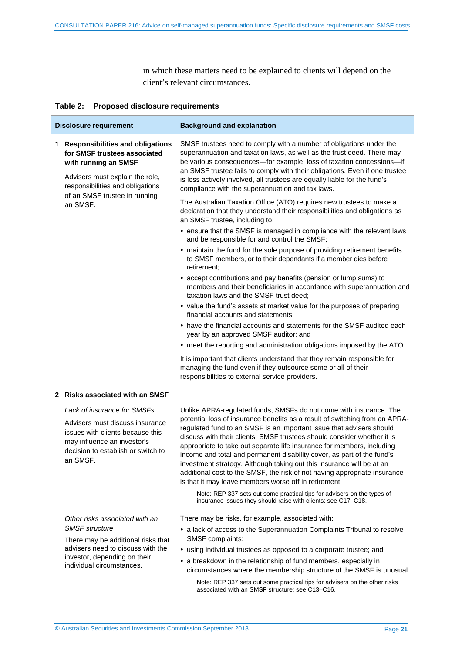in which these matters need to be explained to clients will depend on the client's relevant circumstances.

#### <span id="page-20-0"></span>**Table 2: Proposed disclosure requirements**

| <b>Disclosure requirement</b> |                                                                                                                                                                   | <b>Background and explanation</b>                                                                                                                                                                                                                                                                                                                                                                                                     |
|-------------------------------|-------------------------------------------------------------------------------------------------------------------------------------------------------------------|---------------------------------------------------------------------------------------------------------------------------------------------------------------------------------------------------------------------------------------------------------------------------------------------------------------------------------------------------------------------------------------------------------------------------------------|
|                               | 1 Responsibilities and obligations<br>for SMSF trustees associated<br>with running an SMSF<br>Advisers must explain the role,<br>responsibilities and obligations | SMSF trustees need to comply with a number of obligations under the<br>superannuation and taxation laws, as well as the trust deed. There may<br>be various consequences-for example, loss of taxation concessions-if<br>an SMSF trustee fails to comply with their obligations. Even if one trustee<br>is less actively involved, all trustees are equally liable for the fund's<br>compliance with the superannuation and tax laws. |
|                               | of an SMSF trustee in running<br>an SMSF.                                                                                                                         | The Australian Taxation Office (ATO) requires new trustees to make a<br>declaration that they understand their responsibilities and obligations as<br>an SMSF trustee, including to:                                                                                                                                                                                                                                                  |
|                               |                                                                                                                                                                   | • ensure that the SMSF is managed in compliance with the relevant laws<br>and be responsible for and control the SMSF;                                                                                                                                                                                                                                                                                                                |
|                               |                                                                                                                                                                   | • maintain the fund for the sole purpose of providing retirement benefits<br>to SMSF members, or to their dependants if a member dies before<br>retirement:                                                                                                                                                                                                                                                                           |
|                               |                                                                                                                                                                   | • accept contributions and pay benefits (pension or lump sums) to<br>members and their beneficiaries in accordance with superannuation and<br>taxation laws and the SMSF trust deed:                                                                                                                                                                                                                                                  |
|                               |                                                                                                                                                                   | • value the fund's assets at market value for the purposes of preparing<br>financial accounts and statements;                                                                                                                                                                                                                                                                                                                         |
|                               |                                                                                                                                                                   | • have the financial accounts and statements for the SMSF audited each<br>year by an approved SMSF auditor; and                                                                                                                                                                                                                                                                                                                       |
|                               |                                                                                                                                                                   | • meet the reporting and administration obligations imposed by the ATO.                                                                                                                                                                                                                                                                                                                                                               |
|                               |                                                                                                                                                                   | It is important that clients understand that they remain responsible for<br>managing the fund even if they outsource some or all of their<br>responsibilities to external service providers.                                                                                                                                                                                                                                          |
|                               |                                                                                                                                                                   |                                                                                                                                                                                                                                                                                                                                                                                                                                       |

#### **2 Risks associated with an SMSF**

*Lack of insurance for SMSFs*

Advisers must discuss insurance issues with clients because this may influence an investor's decision to establish or switch to an SMSF.

*Other risks associated with an SMSF structure*

There may be additional risks that advisers need to discuss with the investor, depending on their individual circumstances.

Unlike APRA-regulated funds, SMSFs do not come with insurance. The potential loss of insurance benefits as a result of switching from an APRAregulated fund to an SMSF is an important issue that advisers should discuss with their clients. SMSF trustees should consider whether it is appropriate to take out separate life insurance for members, including income and total and permanent disability cover, as part of the fund's investment strategy. Although taking out this insurance will be at an additional cost to the SMSF, the risk of not having appropriate insurance is that it may leave members worse off in retirement.

Note: REP 337 sets out some practical tips for advisers on the types of insurance issues they should raise with clients: see C17–C18.

There may be risks, for example, associated with:

- a lack of access to the Superannuation Complaints Tribunal to resolve SMSF complaints;
- using individual trustees as opposed to a corporate trustee; and
- a breakdown in the relationship of fund members, especially in circumstances where the membership structure of the SMSF is unusual.

Note: REP 337 sets out some practical tips for advisers on the other risks associated with an SMSF structure: see C13–C16.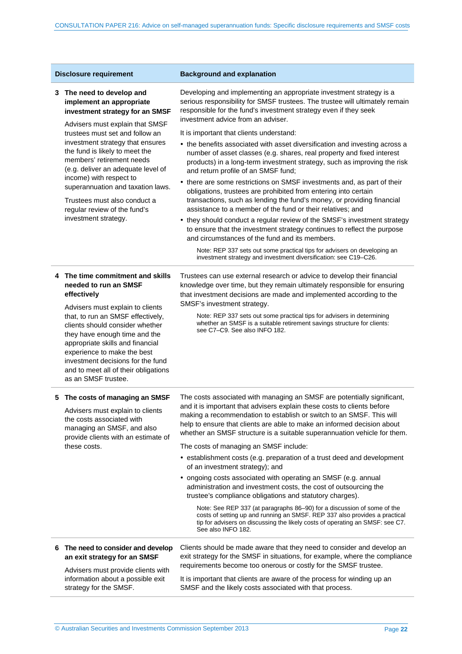| <b>Disclosure requirement</b> |                                                                                                                                                                                                                                                                                                                                                                                                                                                                 | <b>Background and explanation</b>                                                                                                                                                                                                                                                                                                                                                 |  |  |
|-------------------------------|-----------------------------------------------------------------------------------------------------------------------------------------------------------------------------------------------------------------------------------------------------------------------------------------------------------------------------------------------------------------------------------------------------------------------------------------------------------------|-----------------------------------------------------------------------------------------------------------------------------------------------------------------------------------------------------------------------------------------------------------------------------------------------------------------------------------------------------------------------------------|--|--|
|                               | 3 The need to develop and<br>implement an appropriate<br>investment strategy for an SMSF<br>Advisers must explain that SMSF<br>trustees must set and follow an<br>investment strategy that ensures<br>the fund is likely to meet the<br>members' retirement needs<br>(e.g. deliver an adequate level of<br>income) with respect to<br>superannuation and taxation laws.<br>Trustees must also conduct a<br>regular review of the fund's<br>investment strategy. | Developing and implementing an appropriate investment strategy is a<br>serious responsibility for SMSF trustees. The trustee will ultimately remain<br>responsible for the fund's investment strategy even if they seek<br>investment advice from an adviser.                                                                                                                     |  |  |
|                               |                                                                                                                                                                                                                                                                                                                                                                                                                                                                 | It is important that clients understand:                                                                                                                                                                                                                                                                                                                                          |  |  |
|                               |                                                                                                                                                                                                                                                                                                                                                                                                                                                                 | • the benefits associated with asset diversification and investing across a<br>number of asset classes (e.g. shares, real property and fixed interest<br>products) in a long-term investment strategy, such as improving the risk<br>and return profile of an SMSF fund;                                                                                                          |  |  |
|                               |                                                                                                                                                                                                                                                                                                                                                                                                                                                                 | • there are some restrictions on SMSF investments and, as part of their<br>obligations, trustees are prohibited from entering into certain<br>transactions, such as lending the fund's money, or providing financial<br>assistance to a member of the fund or their relatives; and                                                                                                |  |  |
|                               |                                                                                                                                                                                                                                                                                                                                                                                                                                                                 | • they should conduct a regular review of the SMSF's investment strategy<br>to ensure that the investment strategy continues to reflect the purpose<br>and circumstances of the fund and its members.                                                                                                                                                                             |  |  |
|                               |                                                                                                                                                                                                                                                                                                                                                                                                                                                                 | Note: REP 337 sets out some practical tips for advisers on developing an<br>investment strategy and investment diversification: see C19-C26.                                                                                                                                                                                                                                      |  |  |
|                               | 4 The time commitment and skills<br>needed to run an SMSF<br>effectively                                                                                                                                                                                                                                                                                                                                                                                        | Trustees can use external research or advice to develop their financial<br>knowledge over time, but they remain ultimately responsible for ensuring<br>that investment decisions are made and implemented according to the                                                                                                                                                        |  |  |
|                               | Advisers must explain to clients<br>that, to run an SMSF effectively,<br>clients should consider whether<br>they have enough time and the<br>appropriate skills and financial<br>experience to make the best<br>investment decisions for the fund<br>and to meet all of their obligations<br>as an SMSF trustee.                                                                                                                                                | SMSF's investment strategy.<br>Note: REP 337 sets out some practical tips for advisers in determining<br>whether an SMSF is a suitable retirement savings structure for clients:<br>see C7-C9. See also INFO 182.                                                                                                                                                                 |  |  |
|                               | 5 The costs of managing an SMSF<br>Advisers must explain to clients<br>the costs associated with<br>managing an SMSF, and also<br>provide clients with an estimate of<br>these costs.                                                                                                                                                                                                                                                                           | The costs associated with managing an SMSF are potentially significant,<br>and it is important that advisers explain these costs to clients before<br>making a recommendation to establish or switch to an SMSF. This will<br>help to ensure that clients are able to make an informed decision about<br>whether an SMSF structure is a suitable superannuation vehicle for them. |  |  |
|                               |                                                                                                                                                                                                                                                                                                                                                                                                                                                                 | The costs of managing an SMSF include:                                                                                                                                                                                                                                                                                                                                            |  |  |
|                               |                                                                                                                                                                                                                                                                                                                                                                                                                                                                 | • establishment costs (e.g. preparation of a trust deed and development<br>of an investment strategy); and                                                                                                                                                                                                                                                                        |  |  |
|                               |                                                                                                                                                                                                                                                                                                                                                                                                                                                                 | • ongoing costs associated with operating an SMSF (e.g. annual<br>administration and investment costs, the cost of outsourcing the<br>trustee's compliance obligations and statutory charges).                                                                                                                                                                                    |  |  |
|                               |                                                                                                                                                                                                                                                                                                                                                                                                                                                                 | Note: See REP 337 (at paragraphs 86-90) for a discussion of some of the<br>costs of setting up and running an SMSF. REP 337 also provides a practical<br>tip for advisers on discussing the likely costs of operating an SMSF: see C7.<br>See also INFO 182.                                                                                                                      |  |  |
|                               | 6 The need to consider and develop<br>an exit strategy for an SMSF<br>Advisers must provide clients with                                                                                                                                                                                                                                                                                                                                                        | Clients should be made aware that they need to consider and develop an<br>exit strategy for the SMSF in situations, for example, where the compliance<br>requirements become too onerous or costly for the SMSF trustee.                                                                                                                                                          |  |  |
|                               | information about a possible exit<br>strategy for the SMSF.                                                                                                                                                                                                                                                                                                                                                                                                     | It is important that clients are aware of the process for winding up an<br>SMSF and the likely costs associated with that process.                                                                                                                                                                                                                                                |  |  |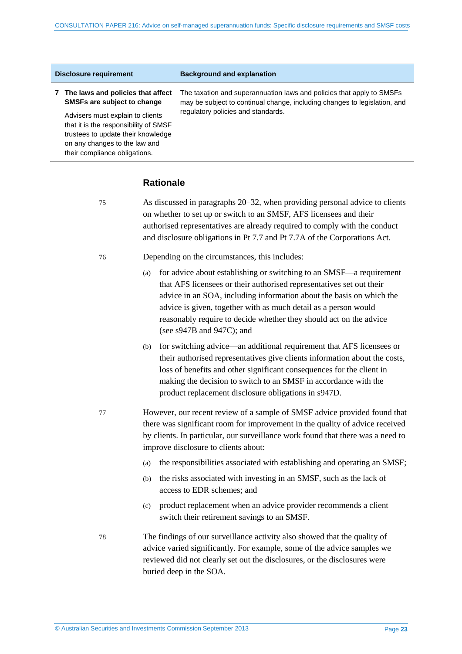#### **Disclosure requirement Background and explanation**

#### **7 The laws and policies that affect SMSFs are subject to change**

Advisers must explain to clients that it is the responsibility of SMSF trustees to update their knowledge on any changes to the law and their compliance obligations.

The taxation and superannuation laws and policies that apply to SMSFs may be subject to continual change, including changes to legislation, and regulatory policies and standards.

#### **Rationale**

- 75 As discussed in paragraphs [20–](#page-7-4)[32,](#page-9-2) when providing personal advice to clients on whether to set up or switch to an SMSF, AFS licensees and their authorised representatives are already required to comply with the conduct and disclosure obligations in Pt 7.7 and Pt 7.7A of the Corporations Act.
- 76 Depending on the circumstances, this includes:
	- (a) for advice about establishing or switching to an SMSF—a requirement that AFS licensees or their authorised representatives set out their advice in an SOA, including information about the basis on which the advice is given, together with as much detail as a person would reasonably require to decide whether they should act on the advice (see s947B and 947C); and
	- (b) for switching advice—an additional requirement that AFS licensees or their authorised representatives give clients information about the costs, loss of benefits and other significant consequences for the client in making the decision to switch to an SMSF in accordance with the product replacement disclosure obligations in s947D.
- 77 However, our recent review of a sample of SMSF advice provided found that there was significant room for improvement in the quality of advice received by clients. In particular, our surveillance work found that there was a need to improve disclosure to clients about:
	- (a) the responsibilities associated with establishing and operating an SMSF;
	- (b) the risks associated with investing in an SMSF, such as the lack of access to EDR schemes; and
	- (c) product replacement when an advice provider recommends a client switch their retirement savings to an SMSF.
- 78 The findings of our surveillance activity also showed that the quality of advice varied significantly. For example, some of the advice samples we reviewed did not clearly set out the disclosures, or the disclosures were buried deep in the SOA.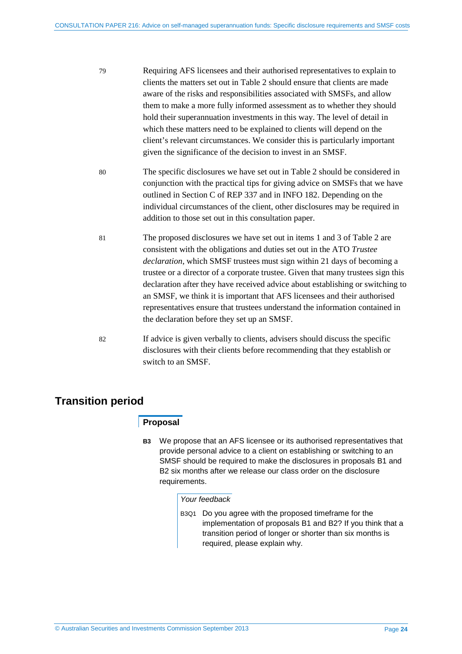- 79 Requiring AFS licensees and their authorised representatives to explain to clients the matters set out in [Table 2](#page-20-0) should ensure that clients are made aware of the risks and responsibilities associated with SMSFs, and allow them to make a more fully informed assessment as to whether they should hold their superannuation investments in this way. The level of detail in which these matters need to be explained to clients will depend on the client's relevant circumstances. We consider this is particularly important given the significance of the decision to invest in an SMSF.
- 80 The specific disclosures we have set out in [Table 2](#page-20-0) should be considered in conjunction with the practical tips for giving advice on SMSFs that we have outlined in Section C of REP 337 and in INFO 182. Depending on the individual circumstances of the client, other disclosures may be required in addition to those set out in this consultation paper.
- 81 The proposed disclosures we have set out in items 1 and 3 o[f Table 2](#page-20-0) are consistent with the obligations and duties set out in the ATO *Trustee declaration*, which SMSF trustees must sign within 21 days of becoming a trustee or a director of a corporate trustee. Given that many trustees sign this declaration after they have received advice about establishing or switching to an SMSF, we think it is important that AFS licensees and their authorised representatives ensure that trustees understand the information contained in the declaration before they set up an SMSF.
- 82 If advice is given verbally to clients, advisers should discuss the specific disclosures with their clients before recommending that they establish or switch to an SMSF.

# <span id="page-23-0"></span>**Transition period**

## **Proposal**

**B3** We propose that an AFS licensee or its authorised representatives that provide personal advice to a client on establishing or switching to an SMSF should be required to make the disclosures in proposals B1 and B2 six months after we release our class order on the disclosure requirements.

#### *Your feedback*

B3Q1 Do you agree with the proposed timeframe for the implementation of proposals B1 and B2? If you think that a transition period of longer or shorter than six months is required, please explain why.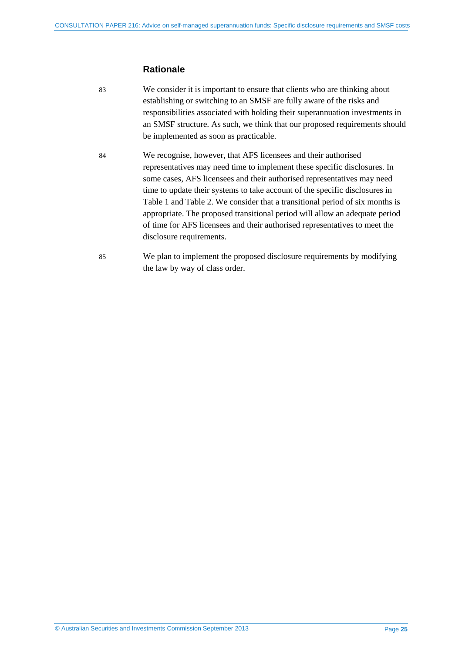## **Rationale**

- 83 We consider it is important to ensure that clients who are thinking about establishing or switching to an SMSF are fully aware of the risks and responsibilities associated with holding their superannuation investments in an SMSF structure. As such, we think that our proposed requirements should be implemented as soon as practicable.
- 84 We recognise, however, that AFS licensees and their authorised representatives may need time to implement these specific disclosures. In some cases, AFS licensees and their authorised representatives may need time to update their systems to take account of the specific disclosures in [Table 1](#page-18-0) and [Table 2.](#page-20-0) We consider that a transitional period of six months is appropriate. The proposed transitional period will allow an adequate period of time for AFS licensees and their authorised representatives to meet the disclosure requirements.
- 85 We plan to implement the proposed disclosure requirements by modifying the law by way of class order.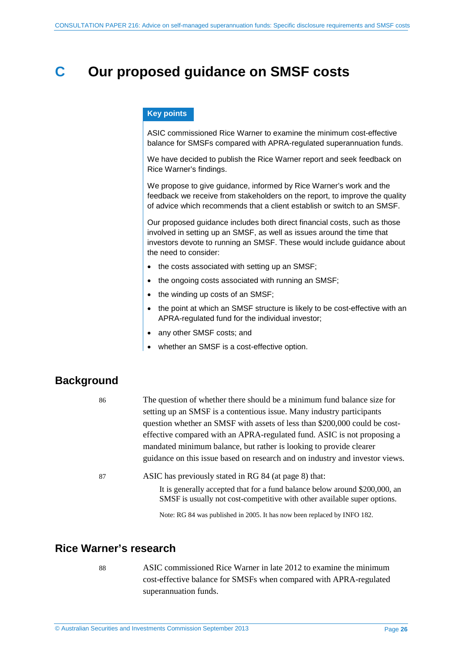# <span id="page-25-0"></span>**C Our proposed guidance on SMSF costs**

#### **Key points**

ASIC commissioned Rice Warner to examine the minimum cost-effective balance for SMSFs compared with APRA-regulated superannuation funds.

We have decided to publish the Rice Warner report and seek feedback on Rice Warner's findings.

We propose to give guidance, informed by Rice Warner's work and the feedback we receive from stakeholders on the report, to improve the quality of advice which recommends that a client establish or switch to an SMSF.

Our proposed guidance includes both direct financial costs, such as those involved in setting up an SMSF, as well as issues around the time that investors devote to running an SMSF. These would include guidance about the need to consider:

- the costs associated with setting up an SMSF;
- the ongoing costs associated with running an SMSF;
- the winding up costs of an SMSF;
- the point at which an SMSF structure is likely to be cost-effective with an APRA-regulated fund for the individual investor;
- any other SMSF costs; and
- whether an SMSF is a cost-effective option.

# <span id="page-25-1"></span>**Background**

| 86 | The question of whether there should be a minimum fund balance size for<br>setting up an SMSF is a contentious issue. Many industry participants        |
|----|---------------------------------------------------------------------------------------------------------------------------------------------------------|
|    | question whether an SMSF with assets of less than \$200,000 could be cost-                                                                              |
|    | effective compared with an APRA-regulated fund. ASIC is not proposing a                                                                                 |
|    | mandated minimum balance, but rather is looking to provide clearer                                                                                      |
|    | guidance on this issue based on research and on industry and investor views.                                                                            |
| 87 | ASIC has previously stated in RG 84 (at page 8) that:                                                                                                   |
|    | It is generally accepted that for a fund balance below around \$200,000, an<br>SMSF is usually not cost-competitive with other available super options. |

Note: RG 84 was published in 2005. It has now been replaced by INFO 182.

# <span id="page-25-2"></span>**Rice Warner's research**

88 ASIC commissioned Rice Warner in late 2012 to examine the minimum cost-effective balance for SMSFs when compared with APRA-regulated superannuation funds.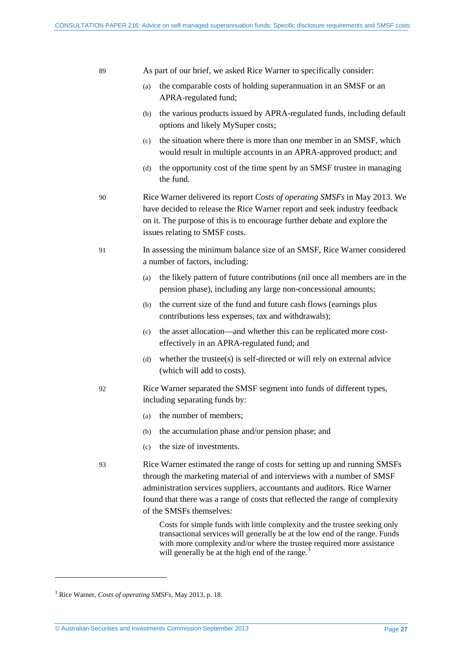| As part of our brief, we asked Rice Warner to specifically consider:<br>89 |                                                                                                                                                                                                                                                                                                                                             |  |
|----------------------------------------------------------------------------|---------------------------------------------------------------------------------------------------------------------------------------------------------------------------------------------------------------------------------------------------------------------------------------------------------------------------------------------|--|
|                                                                            | the comparable costs of holding superannuation in an SMSF or an<br>(a)<br>APRA-regulated fund;                                                                                                                                                                                                                                              |  |
|                                                                            | the various products issued by APRA-regulated funds, including default<br>(b)<br>options and likely MySuper costs;                                                                                                                                                                                                                          |  |
|                                                                            | the situation where there is more than one member in an SMSF, which<br>(c)<br>would result in multiple accounts in an APRA-approved product; and                                                                                                                                                                                            |  |
|                                                                            | the opportunity cost of the time spent by an SMSF trustee in managing<br>(d)<br>the fund.                                                                                                                                                                                                                                                   |  |
| 90                                                                         | Rice Warner delivered its report Costs of operating SMSFs in May 2013. We<br>have decided to release the Rice Warner report and seek industry feedback<br>on it. The purpose of this is to encourage further debate and explore the<br>issues relating to SMSF costs.                                                                       |  |
| 91                                                                         | In assessing the minimum balance size of an SMSF, Rice Warner considered<br>a number of factors, including:                                                                                                                                                                                                                                 |  |
|                                                                            | the likely pattern of future contributions (nil once all members are in the<br>(a)<br>pension phase), including any large non-concessional amounts;                                                                                                                                                                                         |  |
|                                                                            | the current size of the fund and future cash flows (earnings plus<br>(b)<br>contributions less expenses, tax and withdrawals);                                                                                                                                                                                                              |  |
|                                                                            | the asset allocation—and whether this can be replicated more cost-<br>(c)<br>effectively in an APRA-regulated fund; and                                                                                                                                                                                                                     |  |
|                                                                            | whether the trustee(s) is self-directed or will rely on external advice<br>(d)<br>(which will add to costs).                                                                                                                                                                                                                                |  |
| 92                                                                         | Rice Warner separated the SMSF segment into funds of different types,<br>including separating funds by:                                                                                                                                                                                                                                     |  |
|                                                                            | the number of members;<br>(a)                                                                                                                                                                                                                                                                                                               |  |
|                                                                            | the accumulation phase and/or pension phase; and<br>(b)                                                                                                                                                                                                                                                                                     |  |
|                                                                            | the size of investments.<br>(c)                                                                                                                                                                                                                                                                                                             |  |
| 93                                                                         | Rice Warner estimated the range of costs for setting up and running SMSFs<br>through the marketing material of and interviews with a number of SMSF<br>administration services suppliers, accountants and auditors. Rice Warner<br>found that there was a range of costs that reflected the range of complexity<br>of the SMSFs themselves: |  |

Costs for simple funds with little complexity and the trustee seeking only transactional services will generally be at the low end of the range. Funds with more complexity and/or where the trustee required more assistance will generally be at the high end of the range.<sup>[3](#page-26-0)</sup>

<u>.</u>

<span id="page-26-0"></span><sup>3</sup> Rice Warner, *Costs of operating SMSFs*, May 2013, p. 18.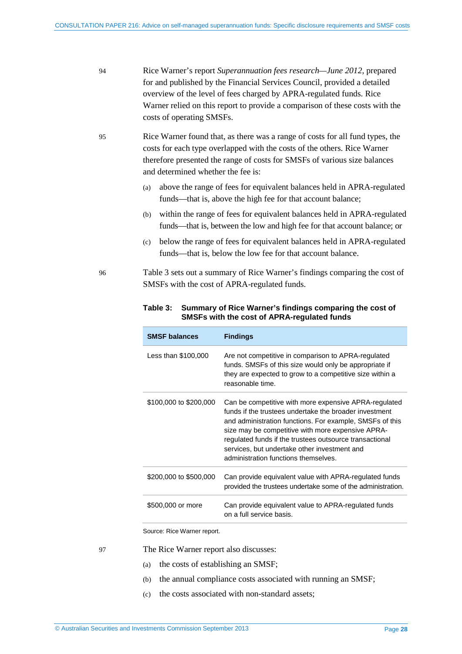94 Rice Warner's report *Superannuation fees research—June 2012*, prepared for and published by the Financial Services Council, provided a detailed overview of the level of fees charged by APRA-regulated funds. Rice Warner relied on this report to provide a comparison of these costs with the costs of operating SMSFs.

- 95 Rice Warner found that, as there was a range of costs for all fund types, the costs for each type overlapped with the costs of the others. Rice Warner therefore presented the range of costs for SMSFs of various size balances and determined whether the fee is:
	- (a) above the range of fees for equivalent balances held in APRA-regulated funds—that is, above the high fee for that account balance;
	- (b) within the range of fees for equivalent balances held in APRA-regulated funds—that is, between the low and high fee for that account balance; or
	- (c) below the range of fees for equivalent balances held in APRA-regulated funds—that is, below the low fee for that account balance.
- <span id="page-27-0"></span>96 [Table 3](#page-27-0) sets out a summary of Rice Warner's findings comparing the cost of SMSFs with the cost of APRA-regulated funds.

| <b>SMSF balances</b>   | <b>Findings</b>                                                                                                                                                                                                                                                                                                                                                                     |
|------------------------|-------------------------------------------------------------------------------------------------------------------------------------------------------------------------------------------------------------------------------------------------------------------------------------------------------------------------------------------------------------------------------------|
| Less than \$100,000    | Are not competitive in comparison to APRA-regulated<br>funds. SMSFs of this size would only be appropriate if<br>they are expected to grow to a competitive size within a<br>reasonable time.                                                                                                                                                                                       |
| \$100,000 to \$200,000 | Can be competitive with more expensive APRA-regulated<br>funds if the trustees undertake the broader investment<br>and administration functions. For example, SMSFs of this<br>size may be competitive with more expensive APRA-<br>regulated funds if the trustees outsource transactional<br>services, but undertake other investment and<br>administration functions themselves. |
| \$200,000 to \$500,000 | Can provide equivalent value with APRA-regulated funds<br>provided the trustees undertake some of the administration.                                                                                                                                                                                                                                                               |
| \$500,000 or more      | Can provide equivalent value to APRA-regulated funds<br>on a full service basis.                                                                                                                                                                                                                                                                                                    |

#### **Table 3: Summary of Rice Warner's findings comparing the cost of SMSFs with the cost of APRA-regulated funds**

Source: Rice Warner report.

- 97 The Rice Warner report also discusses:
	- (a) the costs of establishing an SMSF;
	- (b) the annual compliance costs associated with running an SMSF;
	- (c) the costs associated with non-standard assets;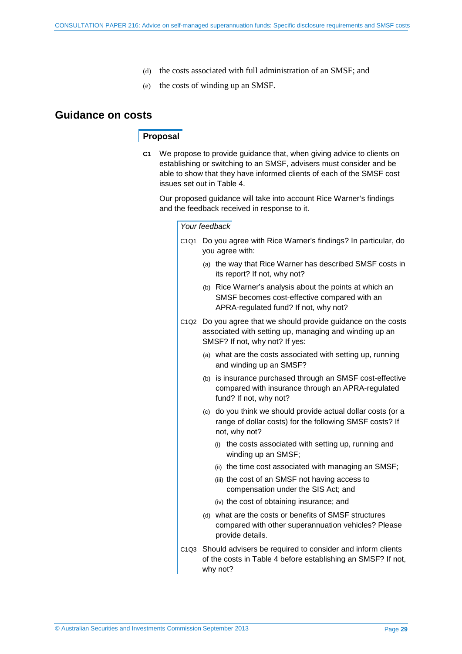- (d) the costs associated with full administration of an SMSF; and
- (e) the costs of winding up an SMSF.

# <span id="page-28-0"></span>**Guidance on costs**

## **Proposal**

**C1** We propose to provide guidance that, when giving advice to clients on establishing or switching to an SMSF, advisers must consider and be able to show that they have informed clients of each of the SMSF cost issues set out in [Table 4.](#page-29-0)

Our proposed guidance will take into account Rice Warner's findings and the feedback received in response to it.

#### *Your feedback*

- C1Q1 Do you agree with Rice Warner's findings? In particular, do you agree with:
	- (a) the way that Rice Warner has described SMSF costs in its report? If not, why not?
	- (b) Rice Warner's analysis about the points at which an SMSF becomes cost-effective compared with an APRA-regulated fund? If not, why not?
- C1Q2 Do you agree that we should provide guidance on the costs associated with setting up, managing and winding up an SMSF? If not, why not? If yes:
	- (a) what are the costs associated with setting up, running and winding up an SMSF?
	- (b) is insurance purchased through an SMSF cost-effective compared with insurance through an APRA-regulated fund? If not, why not?
	- (c) do you think we should provide actual dollar costs (or a range of dollar costs) for the following SMSF costs? If not, why not?
		- (i) the costs associated with setting up, running and winding up an SMSF;
		- (ii) the time cost associated with managing an SMSF;
		- (iii) the cost of an SMSF not having access to compensation under the SIS Act; and
		- (iv) the cost of obtaining insurance; and
	- (d) what are the costs or benefits of SMSF structures compared with other superannuation vehicles? Please provide details.
- C1Q3 Should advisers be required to consider and inform clients of the costs in [Table 4](#page-29-0) before establishing an SMSF? If not, why not?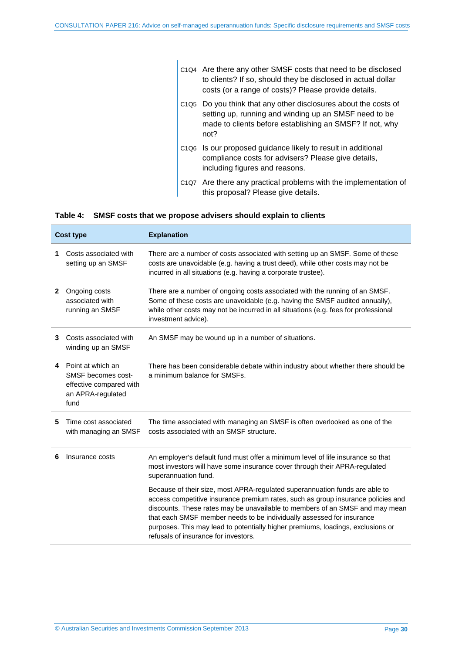|  | C <sub>104</sub> Are there any other SMSF costs that need to be disclosed<br>to clients? If so, should they be disclosed in actual dollar<br>costs (or a range of costs)? Please provide details.        |
|--|----------------------------------------------------------------------------------------------------------------------------------------------------------------------------------------------------------|
|  | C <sub>1Q5</sub> Do you think that any other disclosures about the costs of<br>setting up, running and winding up an SMSF need to be<br>made to clients before establishing an SMSF? If not, why<br>not? |
|  | C <sub>106</sub> Is our proposed guidance likely to result in additional<br>compliance costs for advisers? Please give details,<br>including figures and reasons.                                        |
|  | C1Q7 Are there any practical problems with the implementation of<br>this proposal? Please give details.                                                                                                  |

#### <span id="page-29-0"></span>**Table 4: SMSF costs that we propose advisers should explain to clients**

| <b>Cost type</b>                                 |                                                                                                   | <b>Explanation</b>                                                                                                                                                                                                                                                                                                                                                                                                                                  |  |  |  |
|--------------------------------------------------|---------------------------------------------------------------------------------------------------|-----------------------------------------------------------------------------------------------------------------------------------------------------------------------------------------------------------------------------------------------------------------------------------------------------------------------------------------------------------------------------------------------------------------------------------------------------|--|--|--|
| Costs associated with<br>1<br>setting up an SMSF |                                                                                                   | There are a number of costs associated with setting up an SMSF. Some of these<br>costs are unavoidable (e.g. having a trust deed), while other costs may not be<br>incurred in all situations (e.g. having a corporate trustee).                                                                                                                                                                                                                    |  |  |  |
| $\mathbf{2}$                                     | Ongoing costs<br>associated with<br>running an SMSF                                               | There are a number of ongoing costs associated with the running of an SMSF.<br>Some of these costs are unavoidable (e.g. having the SMSF audited annually),<br>while other costs may not be incurred in all situations (e.g. fees for professional<br>investment advice).                                                                                                                                                                           |  |  |  |
| 3                                                | Costs associated with<br>winding up an SMSF                                                       | An SMSF may be wound up in a number of situations.                                                                                                                                                                                                                                                                                                                                                                                                  |  |  |  |
|                                                  | 4 Point at which an<br>SMSF becomes cost-<br>effective compared with<br>an APRA-regulated<br>fund | There has been considerable debate within industry about whether there should be<br>a minimum balance for SMSFs.                                                                                                                                                                                                                                                                                                                                    |  |  |  |
| 5                                                | Time cost associated<br>with managing an SMSF                                                     | The time associated with managing an SMSF is often overlooked as one of the<br>costs associated with an SMSF structure.                                                                                                                                                                                                                                                                                                                             |  |  |  |
| 6                                                | Insurance costs                                                                                   | An employer's default fund must offer a minimum level of life insurance so that<br>most investors will have some insurance cover through their APRA-regulated<br>superannuation fund.                                                                                                                                                                                                                                                               |  |  |  |
|                                                  |                                                                                                   | Because of their size, most APRA-regulated superannuation funds are able to<br>access competitive insurance premium rates, such as group insurance policies and<br>discounts. These rates may be unavailable to members of an SMSF and may mean<br>that each SMSF member needs to be individually assessed for insurance<br>purposes. This may lead to potentially higher premiums, loadings, exclusions or<br>refusals of insurance for investors. |  |  |  |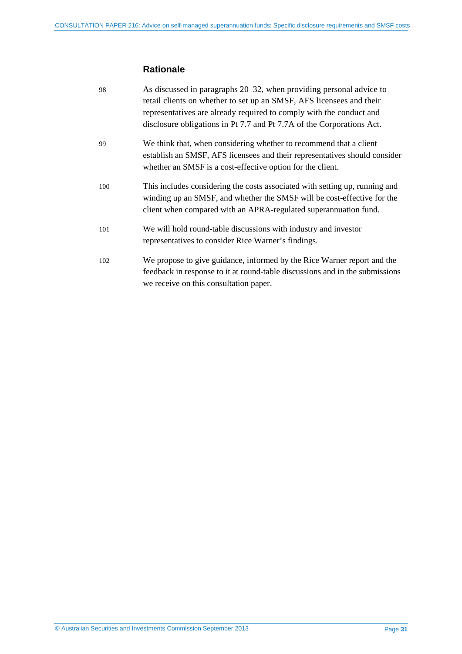# **Rationale**

| 98  | As discussed in paragraphs 20–32, when providing personal advice to<br>retail clients on whether to set up an SMSF, AFS licensees and their<br>representatives are already required to comply with the conduct and         |
|-----|----------------------------------------------------------------------------------------------------------------------------------------------------------------------------------------------------------------------------|
|     | disclosure obligations in Pt 7.7 and Pt 7.7A of the Corporations Act.                                                                                                                                                      |
| 99  | We think that, when considering whether to recommend that a client<br>establish an SMSF, AFS licensees and their representatives should consider<br>whether an SMSF is a cost-effective option for the client.             |
| 100 | This includes considering the costs associated with setting up, running and<br>winding up an SMSF, and whether the SMSF will be cost-effective for the<br>client when compared with an APRA-regulated superannuation fund. |
| 101 | We will hold round-table discussions with industry and investor<br>representatives to consider Rice Warner's findings.                                                                                                     |
| 102 | We propose to give guidance, informed by the Rice Warner report and the<br>feedback in response to it at round-table discussions and in the submissions<br>we receive on this consultation paper.                          |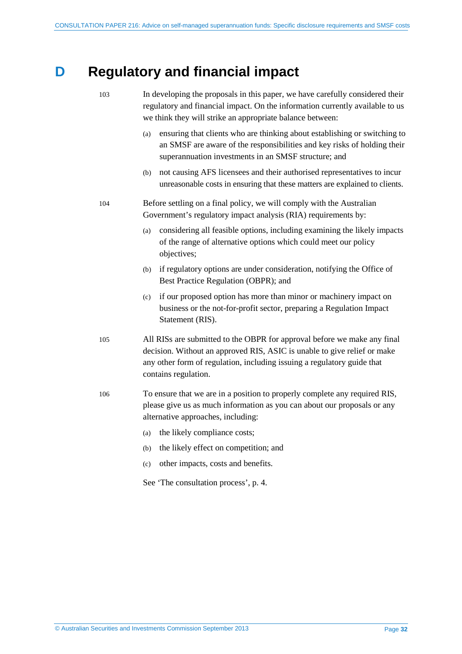# <span id="page-31-0"></span>**D Regulatory and financial impact**

| 103 | In developing the proposals in this paper, we have carefully considered their<br>regulatory and financial impact. On the information currently available to us<br>we think they will strike an appropriate balance between:                             |  |  |
|-----|---------------------------------------------------------------------------------------------------------------------------------------------------------------------------------------------------------------------------------------------------------|--|--|
|     | ensuring that clients who are thinking about establishing or switching to<br>(a)<br>an SMSF are aware of the responsibilities and key risks of holding their<br>superannuation investments in an SMSF structure; and                                    |  |  |
|     | not causing AFS licensees and their authorised representatives to incur<br>(b)<br>unreasonable costs in ensuring that these matters are explained to clients.                                                                                           |  |  |
| 104 | Before settling on a final policy, we will comply with the Australian<br>Government's regulatory impact analysis (RIA) requirements by:                                                                                                                 |  |  |
|     | considering all feasible options, including examining the likely impacts<br>(a)<br>of the range of alternative options which could meet our policy<br>objectives;                                                                                       |  |  |
|     | if regulatory options are under consideration, notifying the Office of<br>(b)<br>Best Practice Regulation (OBPR); and                                                                                                                                   |  |  |
|     | if our proposed option has more than minor or machinery impact on<br>(c)<br>business or the not-for-profit sector, preparing a Regulation Impact<br>Statement (RIS).                                                                                    |  |  |
| 105 | All RISs are submitted to the OBPR for approval before we make any final<br>decision. Without an approved RIS, ASIC is unable to give relief or make<br>any other form of regulation, including issuing a regulatory guide that<br>contains regulation. |  |  |
| 106 | To ensure that we are in a position to properly complete any required RIS,<br>please give us as much information as you can about our proposals or any<br>alternative approaches, including:                                                            |  |  |
|     | the likely compliance costs;<br>(a)                                                                                                                                                                                                                     |  |  |
|     | the likely effect on competition; and<br>(b)                                                                                                                                                                                                            |  |  |
|     | other impacts, costs and benefits.<br>(c)                                                                                                                                                                                                               |  |  |
|     | See 'The consultation process', p. 4.                                                                                                                                                                                                                   |  |  |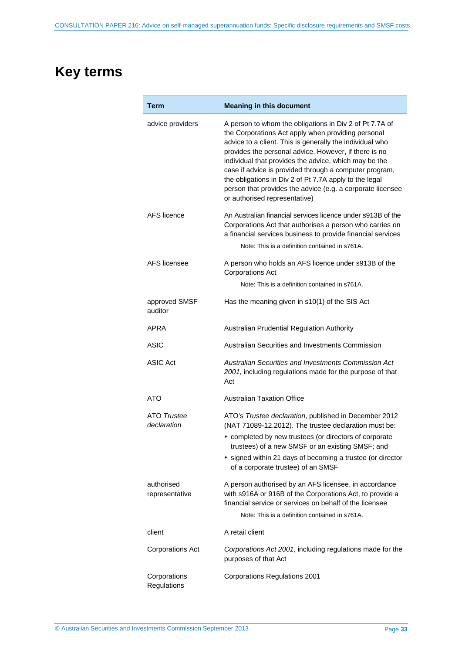# <span id="page-32-0"></span>**Key terms**

| Term                         | <b>Meaning in this document</b>                                                                                                                                                                                                                                                                                                                                                                                                                                                                                |  |  |  |
|------------------------------|----------------------------------------------------------------------------------------------------------------------------------------------------------------------------------------------------------------------------------------------------------------------------------------------------------------------------------------------------------------------------------------------------------------------------------------------------------------------------------------------------------------|--|--|--|
| advice providers             | A person to whom the obligations in Div 2 of Pt 7.7A of<br>the Corporations Act apply when providing personal<br>advice to a client. This is generally the individual who<br>provides the personal advice. However, if there is no<br>individual that provides the advice, which may be the<br>case if advice is provided through a computer program,<br>the obligations in Div 2 of Pt 7.7A apply to the legal<br>person that provides the advice (e.g. a corporate licensee<br>or authorised representative) |  |  |  |
| AFS licence                  | An Australian financial services licence under s913B of the<br>Corporations Act that authorises a person who carries on<br>a financial services business to provide financial services<br>Note: This is a definition contained in s761A.                                                                                                                                                                                                                                                                       |  |  |  |
| AFS licensee                 | A person who holds an AFS licence under s913B of the<br><b>Corporations Act</b>                                                                                                                                                                                                                                                                                                                                                                                                                                |  |  |  |
|                              | Note: This is a definition contained in s761A.                                                                                                                                                                                                                                                                                                                                                                                                                                                                 |  |  |  |
| approved SMSF<br>auditor     | Has the meaning given in s10(1) of the SIS Act                                                                                                                                                                                                                                                                                                                                                                                                                                                                 |  |  |  |
| APRA                         | Australian Prudential Regulation Authority                                                                                                                                                                                                                                                                                                                                                                                                                                                                     |  |  |  |
| ASIC                         | Australian Securities and Investments Commission                                                                                                                                                                                                                                                                                                                                                                                                                                                               |  |  |  |
| ASIC Act                     | Australian Securities and Investments Commission Act<br>2001, including regulations made for the purpose of that<br>Act                                                                                                                                                                                                                                                                                                                                                                                        |  |  |  |
| ATO                          | <b>Australian Taxation Office</b>                                                                                                                                                                                                                                                                                                                                                                                                                                                                              |  |  |  |
| ATO Trustee<br>declaration   | ATO's Trustee declaration, published in December 2012<br>(NAT 71089-12.2012). The trustee declaration must be:<br>• completed by new trustees (or directors of corporate<br>trustees) of a new SMSF or an existing SMSF; and<br>• signed within 21 days of becoming a trustee (or director                                                                                                                                                                                                                     |  |  |  |
|                              | of a corporate trustee) of an SMSF                                                                                                                                                                                                                                                                                                                                                                                                                                                                             |  |  |  |
| authorised<br>representative | A person authorised by an AFS licensee, in accordance<br>with s916A or 916B of the Corporations Act, to provide a<br>financial service or services on behalf of the licensee                                                                                                                                                                                                                                                                                                                                   |  |  |  |
|                              | Note: This is a definition contained in s761A.                                                                                                                                                                                                                                                                                                                                                                                                                                                                 |  |  |  |
| client                       | A retail client                                                                                                                                                                                                                                                                                                                                                                                                                                                                                                |  |  |  |
| <b>Corporations Act</b>      | Corporations Act 2001, including regulations made for the<br>purposes of that Act                                                                                                                                                                                                                                                                                                                                                                                                                              |  |  |  |
| Corporations<br>Regulations  | <b>Corporations Regulations 2001</b>                                                                                                                                                                                                                                                                                                                                                                                                                                                                           |  |  |  |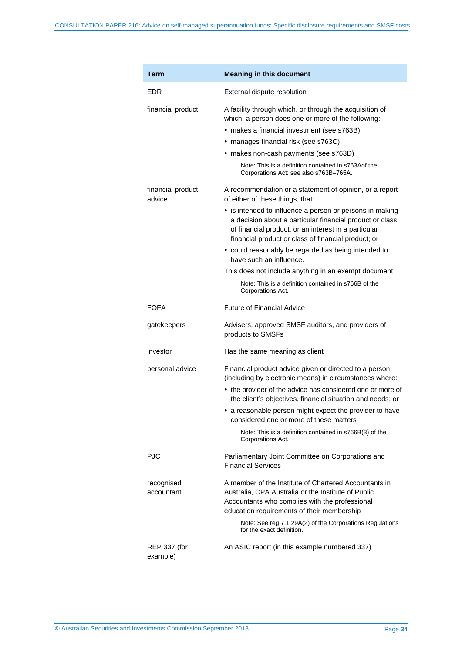| Term                            | <b>Meaning in this document</b>                                                                                                                                                                                                     |  |  |  |
|---------------------------------|-------------------------------------------------------------------------------------------------------------------------------------------------------------------------------------------------------------------------------------|--|--|--|
| EDR                             | External dispute resolution                                                                                                                                                                                                         |  |  |  |
| financial product               | A facility through which, or through the acquisition of<br>which, a person does one or more of the following:<br>• makes a financial investment (see s763B);                                                                        |  |  |  |
|                                 | • manages financial risk (see s763C);                                                                                                                                                                                               |  |  |  |
|                                 | • makes non-cash payments (see s763D)                                                                                                                                                                                               |  |  |  |
|                                 | Note: This is a definition contained in s763Aof the<br>Corporations Act: see also s763B-765A.                                                                                                                                       |  |  |  |
| financial product<br>advice     | A recommendation or a statement of opinion, or a report<br>of either of these things, that:                                                                                                                                         |  |  |  |
|                                 | • is intended to influence a person or persons in making<br>a decision about a particular financial product or class<br>of financial product, or an interest in a particular<br>financial product or class of financial product; or |  |  |  |
|                                 | • could reasonably be regarded as being intended to<br>have such an influence.                                                                                                                                                      |  |  |  |
|                                 | This does not include anything in an exempt document                                                                                                                                                                                |  |  |  |
|                                 | Note: This is a definition contained in s766B of the<br>Corporations Act.                                                                                                                                                           |  |  |  |
| <b>FOFA</b>                     | <b>Future of Financial Advice</b>                                                                                                                                                                                                   |  |  |  |
| gatekeepers                     | Advisers, approved SMSF auditors, and providers of<br>products to SMSFs                                                                                                                                                             |  |  |  |
| investor                        | Has the same meaning as client                                                                                                                                                                                                      |  |  |  |
| personal advice                 | Financial product advice given or directed to a person<br>(including by electronic means) in circumstances where:                                                                                                                   |  |  |  |
|                                 | • the provider of the advice has considered one or more of<br>the client's objectives, financial situation and needs; or                                                                                                            |  |  |  |
|                                 | • a reasonable person might expect the provider to have<br>considered one or more of these matters                                                                                                                                  |  |  |  |
|                                 | Note: This is a definition contained in s766B(3) of the<br>Corporations Act.                                                                                                                                                        |  |  |  |
| <b>PJC</b>                      | Parliamentary Joint Committee on Corporations and<br><b>Financial Services</b>                                                                                                                                                      |  |  |  |
| recognised<br>accountant        | A member of the Institute of Chartered Accountants in<br>Australia, CPA Australia or the Institute of Public<br>Accountants who complies with the professional<br>education requirements of their membership                        |  |  |  |
|                                 | Note: See reg 7.1.29A(2) of the Corporations Regulations<br>for the exact definition.                                                                                                                                               |  |  |  |
| <b>REP 337 (for</b><br>example) | An ASIC report (in this example numbered 337)                                                                                                                                                                                       |  |  |  |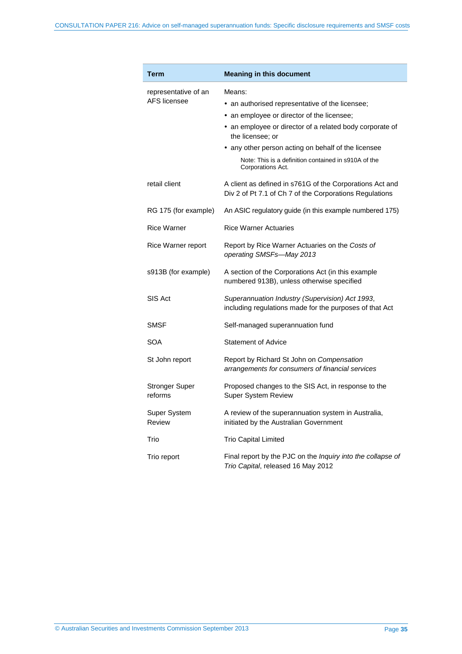| Term                             | <b>Meaning in this document</b>                                                                                     |  |  |  |
|----------------------------------|---------------------------------------------------------------------------------------------------------------------|--|--|--|
| representative of an             | Means:                                                                                                              |  |  |  |
| AFS licensee                     | • an authorised representative of the licensee;                                                                     |  |  |  |
|                                  | an employee or director of the licensee;                                                                            |  |  |  |
|                                  | • an employee or director of a related body corporate of<br>the licensee; or                                        |  |  |  |
|                                  | • any other person acting on behalf of the licensee                                                                 |  |  |  |
|                                  | Note: This is a definition contained in s910A of the<br>Corporations Act.                                           |  |  |  |
| retail client                    | A client as defined in s761G of the Corporations Act and<br>Div 2 of Pt 7.1 of Ch 7 of the Corporations Regulations |  |  |  |
| RG 175 (for example)             | An ASIC regulatory guide (in this example numbered 175)                                                             |  |  |  |
| <b>Rice Warner</b>               | <b>Rice Warner Actuaries</b>                                                                                        |  |  |  |
| Rice Warner report               | Report by Rice Warner Actuaries on the Costs of<br>operating SMSFs-May 2013                                         |  |  |  |
| s913B (for example)              | A section of the Corporations Act (in this example<br>numbered 913B), unless otherwise specified                    |  |  |  |
| SIS Act                          | Superannuation Industry (Supervision) Act 1993,<br>including regulations made for the purposes of that Act          |  |  |  |
| SMSF                             | Self-managed superannuation fund                                                                                    |  |  |  |
| SOA                              | <b>Statement of Advice</b>                                                                                          |  |  |  |
| St John report                   | Report by Richard St John on Compensation<br>arrangements for consumers of financial services                       |  |  |  |
| <b>Stronger Super</b><br>reforms | Proposed changes to the SIS Act, in response to the<br>Super System Review                                          |  |  |  |
| Super System<br>Review           | A review of the superannuation system in Australia,<br>initiated by the Australian Government                       |  |  |  |
| Trio                             | <b>Trio Capital Limited</b>                                                                                         |  |  |  |
| Trio report                      | Final report by the PJC on the Inquiry into the collapse of<br>Trio Capital, released 16 May 2012                   |  |  |  |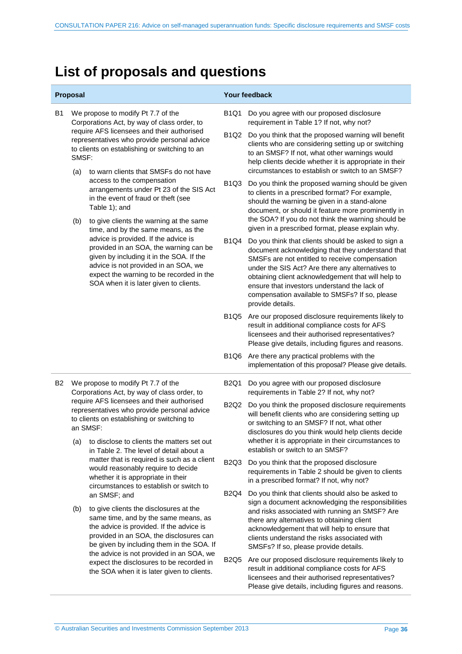# <span id="page-35-0"></span>**List of proposals and questions**

| Proposal       |                                                                                                                                                                                                                                                                                           |                                                                                                                                                                                                                                                                                                                                                                                                                                                                                                                                                                                                                                         | Your feedback                 |                                                                                                                                                                                                                                                                                                                                                                                           |  |
|----------------|-------------------------------------------------------------------------------------------------------------------------------------------------------------------------------------------------------------------------------------------------------------------------------------------|-----------------------------------------------------------------------------------------------------------------------------------------------------------------------------------------------------------------------------------------------------------------------------------------------------------------------------------------------------------------------------------------------------------------------------------------------------------------------------------------------------------------------------------------------------------------------------------------------------------------------------------------|-------------------------------|-------------------------------------------------------------------------------------------------------------------------------------------------------------------------------------------------------------------------------------------------------------------------------------------------------------------------------------------------------------------------------------------|--|
| <b>B1</b>      | We propose to modify Pt 7.7 of the<br>Corporations Act, by way of class order, to<br>require AFS licensees and their authorised<br>representatives who provide personal advice<br>to clients on establishing or switching to an<br>SMSF:<br>to warn clients that SMSFs do not have<br>(a) |                                                                                                                                                                                                                                                                                                                                                                                                                                                                                                                                                                                                                                         | <b>B1Q1</b>                   | Do you agree with our proposed disclosure<br>requirement in Table 1? If not, why not?                                                                                                                                                                                                                                                                                                     |  |
|                |                                                                                                                                                                                                                                                                                           |                                                                                                                                                                                                                                                                                                                                                                                                                                                                                                                                                                                                                                         | <b>B1Q2</b>                   | Do you think that the proposed warning will benefit<br>clients who are considering setting up or switching<br>to an SMSF? If not, what other warnings would<br>help clients decide whether it is appropriate in their<br>circumstances to establish or switch to an SMSF?                                                                                                                 |  |
|                |                                                                                                                                                                                                                                                                                           | access to the compensation<br>arrangements under Pt 23 of the SIS Act<br>in the event of fraud or theft (see<br>Table 1); and                                                                                                                                                                                                                                                                                                                                                                                                                                                                                                           | <b>B1Q3</b>                   | Do you think the proposed warning should be given<br>to clients in a prescribed format? For example,<br>should the warning be given in a stand-alone<br>document, or should it feature more prominently in<br>the SOA? If you do not think the warning should be                                                                                                                          |  |
|                | (b)                                                                                                                                                                                                                                                                                       | to give clients the warning at the same<br>time, and by the same means, as the<br>advice is provided. If the advice is<br>provided in an SOA, the warning can be<br>given by including it in the SOA. If the<br>advice is not provided in an SOA, we<br>expect the warning to be recorded in the<br>SOA when it is later given to clients.                                                                                                                                                                                                                                                                                              |                               | given in a prescribed format, please explain why.                                                                                                                                                                                                                                                                                                                                         |  |
|                |                                                                                                                                                                                                                                                                                           |                                                                                                                                                                                                                                                                                                                                                                                                                                                                                                                                                                                                                                         | <b>B1Q4</b>                   | Do you think that clients should be asked to sign a<br>document acknowledging that they understand that<br>SMSFs are not entitled to receive compensation<br>under the SIS Act? Are there any alternatives to<br>obtaining client acknowledgement that will help to<br>ensure that investors understand the lack of<br>compensation available to SMSFs? If so, please<br>provide details. |  |
|                |                                                                                                                                                                                                                                                                                           |                                                                                                                                                                                                                                                                                                                                                                                                                                                                                                                                                                                                                                         | B1Q5                          | Are our proposed disclosure requirements likely to<br>result in additional compliance costs for AFS<br>licensees and their authorised representatives?<br>Please give details, including figures and reasons.                                                                                                                                                                             |  |
|                |                                                                                                                                                                                                                                                                                           |                                                                                                                                                                                                                                                                                                                                                                                                                                                                                                                                                                                                                                         | B <sub>1</sub> Q <sub>6</sub> | Are there any practical problems with the<br>implementation of this proposal? Please give details.                                                                                                                                                                                                                                                                                        |  |
| B <sub>2</sub> | We propose to modify Pt 7.7 of the<br>Corporations Act, by way of class order, to                                                                                                                                                                                                         |                                                                                                                                                                                                                                                                                                                                                                                                                                                                                                                                                                                                                                         | <b>B2Q1</b>                   | Do you agree with our proposed disclosure<br>requirements in Table 2? If not, why not?                                                                                                                                                                                                                                                                                                    |  |
|                |                                                                                                                                                                                                                                                                                           | require AFS licensees and their authorised<br>representatives who provide personal advice<br>to clients on establishing or switching to<br>an SMSF:                                                                                                                                                                                                                                                                                                                                                                                                                                                                                     |                               | Do you think the proposed disclosure requirements<br>will benefit clients who are considering setting up<br>or switching to an SMSF? If not, what other<br>disclosures do you think would help clients decide                                                                                                                                                                             |  |
|                | (a)                                                                                                                                                                                                                                                                                       | to disclose to clients the matters set out<br>in Table 2. The level of detail about a<br>matter that is required is such as a client<br>would reasonably require to decide<br>whether it is appropriate in their<br>circumstances to establish or switch to<br>an SMSF; and<br>to give clients the disclosures at the<br>same time, and by the same means, as<br>the advice is provided. If the advice is<br>provided in an SOA, the disclosures can<br>be given by including them in the SOA. If<br>the advice is not provided in an SOA, we<br>expect the disclosures to be recorded in<br>the SOA when it is later given to clients. |                               | whether it is appropriate in their circumstances to<br>establish or switch to an SMSF?                                                                                                                                                                                                                                                                                                    |  |
|                |                                                                                                                                                                                                                                                                                           |                                                                                                                                                                                                                                                                                                                                                                                                                                                                                                                                                                                                                                         | <b>B2Q3</b><br><b>B2Q4</b>    | Do you think that the proposed disclosure<br>requirements in Table 2 should be given to clients<br>in a prescribed format? If not, why not?                                                                                                                                                                                                                                               |  |
|                |                                                                                                                                                                                                                                                                                           |                                                                                                                                                                                                                                                                                                                                                                                                                                                                                                                                                                                                                                         |                               | Do you think that clients should also be asked to<br>sign a document acknowledging the responsibilities                                                                                                                                                                                                                                                                                   |  |
|                | (b)                                                                                                                                                                                                                                                                                       |                                                                                                                                                                                                                                                                                                                                                                                                                                                                                                                                                                                                                                         |                               | and risks associated with running an SMSF? Are<br>there any alternatives to obtaining client<br>acknowledgement that will help to ensure that<br>clients understand the risks associated with<br>SMSFs? If so, please provide details.                                                                                                                                                    |  |
|                |                                                                                                                                                                                                                                                                                           |                                                                                                                                                                                                                                                                                                                                                                                                                                                                                                                                                                                                                                         | <b>B2Q5</b>                   | Are our proposed disclosure requirements likely to<br>result in additional compliance costs for AFS<br>licensees and their authorised representatives?<br>Please give details, including figures and reasons.                                                                                                                                                                             |  |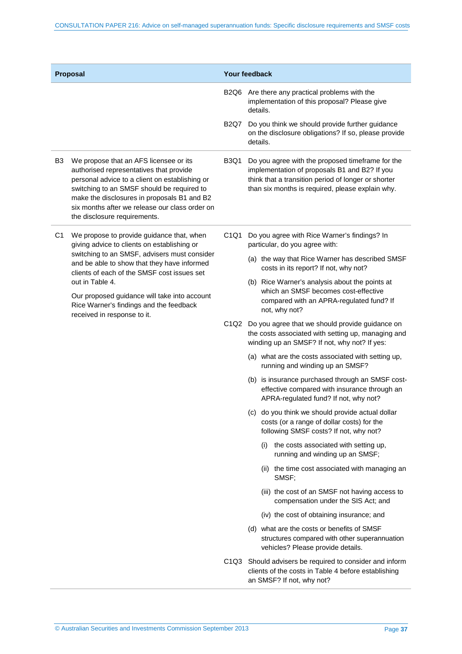| Proposal       |                                                                                                                                                                                                                                                                                                                                                                                     |                               | <b>Your feedback</b>                                                                                                                                                                                         |  |
|----------------|-------------------------------------------------------------------------------------------------------------------------------------------------------------------------------------------------------------------------------------------------------------------------------------------------------------------------------------------------------------------------------------|-------------------------------|--------------------------------------------------------------------------------------------------------------------------------------------------------------------------------------------------------------|--|
|                |                                                                                                                                                                                                                                                                                                                                                                                     | B <sub>2</sub> Q <sub>6</sub> | Are there any practical problems with the<br>implementation of this proposal? Please give<br>details.                                                                                                        |  |
|                |                                                                                                                                                                                                                                                                                                                                                                                     | <b>B2Q7</b>                   | Do you think we should provide further guidance<br>on the disclosure obligations? If so, please provide<br>details.                                                                                          |  |
| B <sub>3</sub> | We propose that an AFS licensee or its<br>authorised representatives that provide<br>personal advice to a client on establishing or<br>switching to an SMSF should be required to<br>make the disclosures in proposals B1 and B2<br>six months after we release our class order on<br>the disclosure requirements.                                                                  | <b>B3Q1</b>                   | Do you agree with the proposed timeframe for the<br>implementation of proposals B1 and B2? If you<br>think that a transition period of longer or shorter<br>than six months is required, please explain why. |  |
| C <sub>1</sub> | We propose to provide guidance that, when<br>giving advice to clients on establishing or<br>switching to an SMSF, advisers must consider<br>and be able to show that they have informed<br>clients of each of the SMSF cost issues set<br>out in Table 4.<br>Our proposed guidance will take into account<br>Rice Warner's findings and the feedback<br>received in response to it. | C1Q1                          | Do you agree with Rice Warner's findings? In<br>particular, do you agree with:                                                                                                                               |  |
|                |                                                                                                                                                                                                                                                                                                                                                                                     |                               | (a) the way that Rice Warner has described SMSF<br>costs in its report? If not, why not?                                                                                                                     |  |
|                |                                                                                                                                                                                                                                                                                                                                                                                     |                               | (b) Rice Warner's analysis about the points at<br>which an SMSF becomes cost-effective<br>compared with an APRA-regulated fund? If<br>not, why not?                                                          |  |
|                |                                                                                                                                                                                                                                                                                                                                                                                     | C1Q2                          | Do you agree that we should provide guidance on<br>the costs associated with setting up, managing and<br>winding up an SMSF? If not, why not? If yes:                                                        |  |
|                |                                                                                                                                                                                                                                                                                                                                                                                     |                               | (a) what are the costs associated with setting up,<br>running and winding up an SMSF?                                                                                                                        |  |
|                |                                                                                                                                                                                                                                                                                                                                                                                     |                               | (b) is insurance purchased through an SMSF cost-<br>effective compared with insurance through an<br>APRA-regulated fund? If not, why not?                                                                    |  |
|                |                                                                                                                                                                                                                                                                                                                                                                                     |                               | (c) do you think we should provide actual dollar<br>costs (or a range of dollar costs) for the<br>following SMSF costs? If not, why not?                                                                     |  |
|                |                                                                                                                                                                                                                                                                                                                                                                                     |                               | the costs associated with setting up,<br>(1)<br>running and winding up an SMSF;                                                                                                                              |  |
|                |                                                                                                                                                                                                                                                                                                                                                                                     |                               | (ii) the time cost associated with managing an<br>SMSF;                                                                                                                                                      |  |
|                |                                                                                                                                                                                                                                                                                                                                                                                     |                               | (iii) the cost of an SMSF not having access to<br>compensation under the SIS Act; and                                                                                                                        |  |
|                |                                                                                                                                                                                                                                                                                                                                                                                     |                               | (iv) the cost of obtaining insurance; and                                                                                                                                                                    |  |
|                |                                                                                                                                                                                                                                                                                                                                                                                     |                               | (d) what are the costs or benefits of SMSF<br>structures compared with other superannuation<br>vehicles? Please provide details.                                                                             |  |
|                |                                                                                                                                                                                                                                                                                                                                                                                     |                               | C1Q3 Should advisers be required to consider and inform<br>clients of the costs in Table 4 before establishing<br>an SMSF? If not, why not?                                                                  |  |